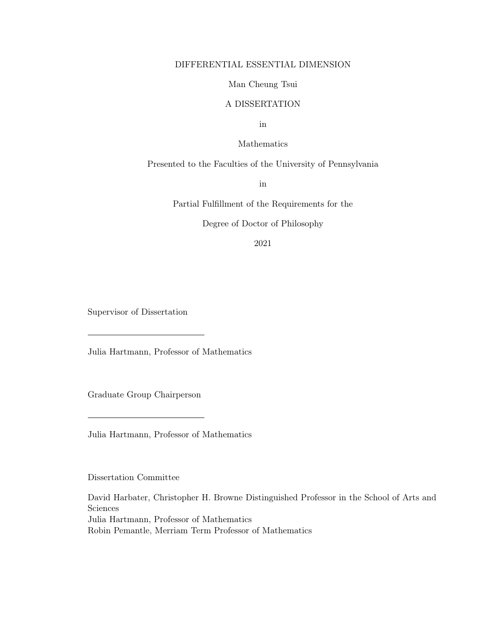# DIFFERENTIAL ESSENTIAL DIMENSION

## Man Cheung Tsui

# A DISSERTATION

in

# Mathematics

#### Presented to the Faculties of the University of Pennsylvania

in

Partial Fulfillment of the Requirements for the

Degree of Doctor of Philosophy

2021

Supervisor of Dissertation

Julia Hartmann, Professor of Mathematics

Graduate Group Chairperson

Julia Hartmann, Professor of Mathematics

Dissertation Committee

David Harbater, Christopher H. Browne Distinguished Professor in the School of Arts and Sciences Julia Hartmann, Professor of Mathematics Robin Pemantle, Merriam Term Professor of Mathematics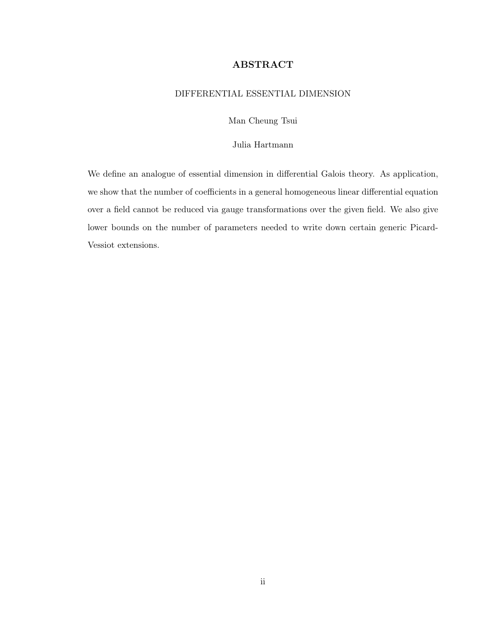# ABSTRACT

# <span id="page-1-0"></span>DIFFERENTIAL ESSENTIAL DIMENSION

Man Cheung Tsui

# Julia Hartmann

We define an analogue of essential dimension in differential Galois theory. As application, we show that the number of coefficients in a general homogeneous linear differential equation over a field cannot be reduced via gauge transformations over the given field. We also give lower bounds on the number of parameters needed to write down certain generic Picard-Vessiot extensions.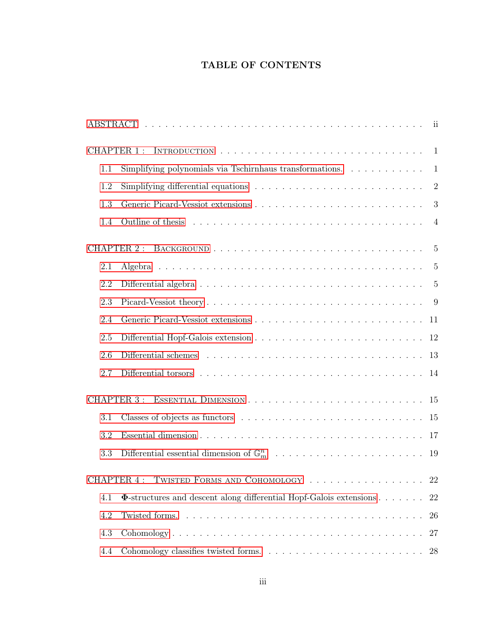# TABLE OF CONTENTS

| <b>CHAPTER 1:</b>                              |                                                                                        |
|------------------------------------------------|----------------------------------------------------------------------------------------|
| 1.1                                            | Simplifying polynomials via Tschirnhaus transformations. $\ldots \ldots \ldots \ldots$ |
| 1.2                                            | $\overline{2}$                                                                         |
| 1.3                                            | 3                                                                                      |
| 1.4                                            |                                                                                        |
| <b>CHAPTER 2:</b>                              |                                                                                        |
| 2.1                                            | -5                                                                                     |
| 2.2                                            | $\overline{5}$                                                                         |
| 2.3                                            |                                                                                        |
| 2.4                                            |                                                                                        |
| 2.5                                            |                                                                                        |
| 2.6                                            |                                                                                        |
| 2.7                                            | 14                                                                                     |
| CHAPTER 3:                                     |                                                                                        |
| 3.1                                            |                                                                                        |
| 3.2                                            |                                                                                        |
| 3.3                                            |                                                                                        |
| CHAPTER.4:<br>TWISTED FORMS AND COHOMOLOGY  22 |                                                                                        |
| 4.1                                            | $\Phi$ -structures and descent along differential Hopf-Galois extensions<br>22         |
| 4.2                                            | Twisted forms.<br>26                                                                   |
| 4.3                                            | 27                                                                                     |
| 4.4                                            | 28                                                                                     |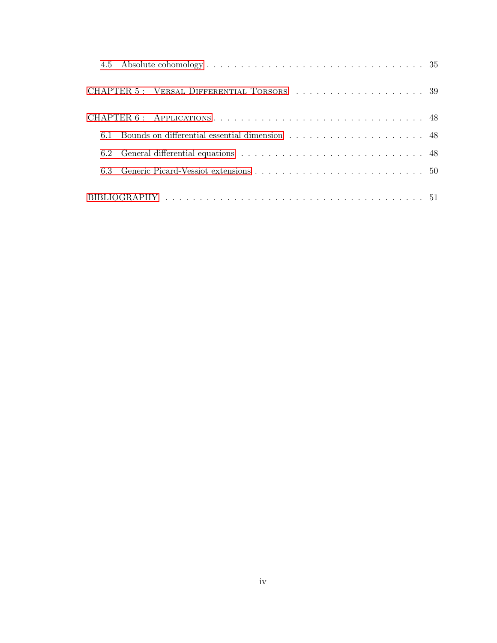| CHAPTER 6: APPLICATIONS 48 |  |
|----------------------------|--|
|                            |  |
|                            |  |
| 63                         |  |
|                            |  |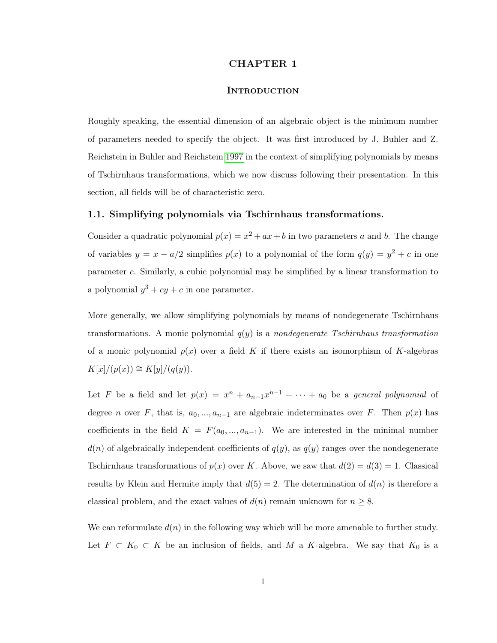## CHAPTER 1

## **INTRODUCTION**

<span id="page-4-0"></span>Roughly speaking, the essential dimension of an algebraic object is the minimum number of parameters needed to specify the object. It was first introduced by J. Buhler and Z. Reichstein in Buhler and Reichstein [1997](#page-55-0) in the context of simplifying polynomials by means of Tschirnhaus transformations, which we now discuss following their presentation. In this section, all fields will be of characteristic zero.

#### <span id="page-4-1"></span>1.1. Simplifying polynomials via Tschirnhaus transformations.

Consider a quadratic polynomial  $p(x) = x^2 + ax + b$  in two parameters a and b. The change of variables  $y = x - a/2$  simplifies  $p(x)$  to a polynomial of the form  $q(y) = y^2 + c$  in one parameter c. Similarly, a cubic polynomial may be simplified by a linear transformation to a polynomial  $y^3 + cy + c$  in one parameter.

More generally, we allow simplifying polynomials by means of nondegenerate Tschirnhaus transformations. A monic polynomial  $q(y)$  is a nondegenerate Tschirnhaus transformation of a monic polynomial  $p(x)$  over a field K if there exists an isomorphism of K-algebras  $K[x]/(p(x)) \cong K[y]/(q(y)).$ 

Let F be a field and let  $p(x) = x^n + a_{n-1}x^{n-1} + \cdots + a_0$  be a *general polynomial* of degree *n* over F, that is,  $a_0, ..., a_{n-1}$  are algebraic indeterminates over F. Then  $p(x)$  has coefficients in the field  $K = F(a_0, ..., a_{n-1})$ . We are interested in the minimal number  $d(n)$  of algebraically independent coefficients of  $q(y)$ , as  $q(y)$  ranges over the nondegenerate Tschirnhaus transformations of  $p(x)$  over K. Above, we saw that  $d(2) = d(3) = 1$ . Classical results by Klein and Hermite imply that  $d(5) = 2$ . The determination of  $d(n)$  is therefore a classical problem, and the exact values of  $d(n)$  remain unknown for  $n \geq 8$ .

We can reformulate  $d(n)$  in the following way which will be more amenable to further study. Let  $F \subset K_0 \subset K$  be an inclusion of fields, and M a K-algebra. We say that  $K_0$  is a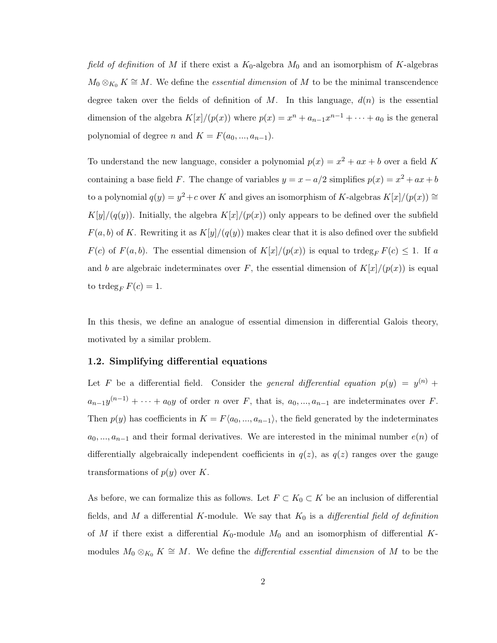field of definition of M if there exist a  $K_0$ -algebra  $M_0$  and an isomorphism of K-algebras  $M_0 \otimes_{K_0} K \cong M$ . We define the *essential dimension* of M to be the minimal transcendence degree taken over the fields of definition of M. In this language,  $d(n)$  is the essential dimension of the algebra  $K[x]/(p(x))$  where  $p(x) = x^{n} + a_{n-1}x^{n-1} + \cdots + a_0$  is the general polynomial of degree *n* and  $K = F(a_0, ..., a_{n-1}).$ 

To understand the new language, consider a polynomial  $p(x) = x^2 + ax + b$  over a field K containing a base field F. The change of variables  $y = x - a/2$  simplifies  $p(x) = x^2 + ax + b$ to a polynomial  $q(y) = y^2 + c$  over K and gives an isomorphism of K-algebras  $K[x]/(p(x)) \cong$  $K[y]/(q(y))$ . Initially, the algebra  $K[x]/(p(x))$  only appears to be defined over the subfield  $F(a, b)$  of K. Rewriting it as  $K[y]/(q(y))$  makes clear that it is also defined over the subfield  $F(c)$  of  $F(a, b)$ . The essential dimension of  $K[x]/(p(x))$  is equal to trdeg<sub>F</sub>  $F(c) \leq 1$ . If a and b are algebraic indeterminates over F, the essential dimension of  $K[x]/(p(x))$  is equal to trdeg<sub>F</sub>  $F(c) = 1$ .

In this thesis, we define an analogue of essential dimension in differential Galois theory, motivated by a similar problem.

#### <span id="page-5-0"></span>1.2. Simplifying differential equations

Let F be a differential field. Consider the general differential equation  $p(y) = y^{(n)} +$  $a_{n-1}y^{(n-1)} + \cdots + a_0y$  of order n over F, that is,  $a_0, ..., a_{n-1}$  are indeterminates over F. Then  $p(y)$  has coefficients in  $K = F\langle a_0, ..., a_{n-1} \rangle$ , the field generated by the indeterminates  $a_0, ..., a_{n-1}$  and their formal derivatives. We are interested in the minimal number  $e(n)$  of differentially algebraically independent coefficients in  $q(z)$ , as  $q(z)$  ranges over the gauge transformations of  $p(y)$  over K.

As before, we can formalize this as follows. Let  $F \subset K_0 \subset K$  be an inclusion of differential fields, and M a differential K-module. We say that  $K_0$  is a *differential field of definition* of M if there exist a differential  $K_0$ -module  $M_0$  and an isomorphism of differential Kmodules  $M_0 \otimes_{K_0} K \cong M$ . We define the *differential essential dimension* of M to be the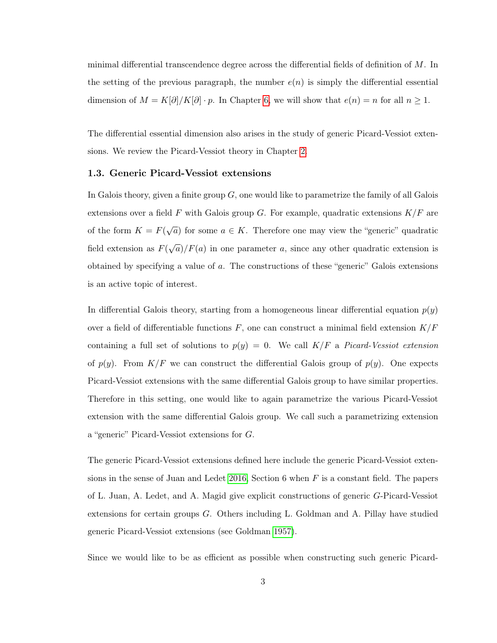minimal differential transcendence degree across the differential fields of definition of  $M$ . In the setting of the previous paragraph, the number  $e(n)$  is simply the differential essential dimension of  $M = K[\partial]/K[\partial] \cdot p$ . In Chapter [6,](#page-51-0) we will show that  $e(n) = n$  for all  $n \ge 1$ .

The differential essential dimension also arises in the study of generic Picard-Vessiot extensions. We review the Picard-Vessiot theory in Chapter [2.](#page-8-0)

#### <span id="page-6-0"></span>1.3. Generic Picard-Vessiot extensions

In Galois theory, given a finite group  $G$ , one would like to parametrize the family of all Galois extensions over a field F with Galois group G. For example, quadratic extensions  $K/F$  are of the form  $K = F(\sqrt{a})$  for some  $a \in K$ . Therefore one may view the "generic" quadratic field extension as  $F(\sqrt{a})/F(a)$  in one parameter a, since any other quadratic extension is obtained by specifying a value of a. The constructions of these "generic" Galois extensions is an active topic of interest.

In differential Galois theory, starting from a homogeneous linear differential equation  $p(y)$ over a field of differentiable functions  $F$ , one can construct a minimal field extension  $K/F$ containing a full set of solutions to  $p(y) = 0$ . We call  $K/F$  a Picard-Vessiot extension of  $p(y)$ . From  $K/F$  we can construct the differential Galois group of  $p(y)$ . One expects Picard-Vessiot extensions with the same differential Galois group to have similar properties. Therefore in this setting, one would like to again parametrize the various Picard-Vessiot extension with the same differential Galois group. We call such a parametrizing extension a "generic" Picard-Vessiot extensions for G.

The generic Picard-Vessiot extensions defined here include the generic Picard-Vessiot exten-sions in the sense of Juan and Ledet [2016,](#page-55-1) Section 6 when  $F$  is a constant field. The papers of L. Juan, A. Ledet, and A. Magid give explicit constructions of generic G-Picard-Vessiot extensions for certain groups G. Others including L. Goldman and A. Pillay have studied generic Picard-Vessiot extensions (see Goldman [1957\)](#page-55-2).

Since we would like to be as efficient as possible when constructing such generic Picard-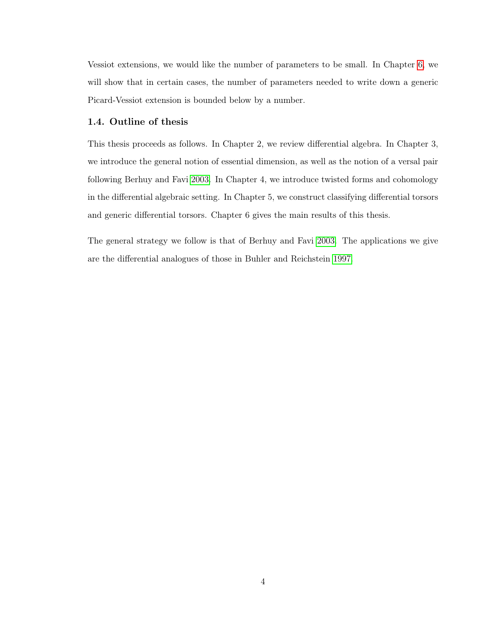Vessiot extensions, we would like the number of parameters to be small. In Chapter [6,](#page-51-0) we will show that in certain cases, the number of parameters needed to write down a generic Picard-Vessiot extension is bounded below by a number.

#### <span id="page-7-0"></span>1.4. Outline of thesis

This thesis proceeds as follows. In Chapter 2, we review differential algebra. In Chapter 3, we introduce the general notion of essential dimension, as well as the notion of a versal pair following Berhuy and Favi [2003.](#page-55-3) In Chapter 4, we introduce twisted forms and cohomology in the differential algebraic setting. In Chapter 5, we construct classifying differential torsors and generic differential torsors. Chapter 6 gives the main results of this thesis.

The general strategy we follow is that of Berhuy and Favi [2003.](#page-55-3) The applications we give are the differential analogues of those in Buhler and Reichstein [1997.](#page-55-0)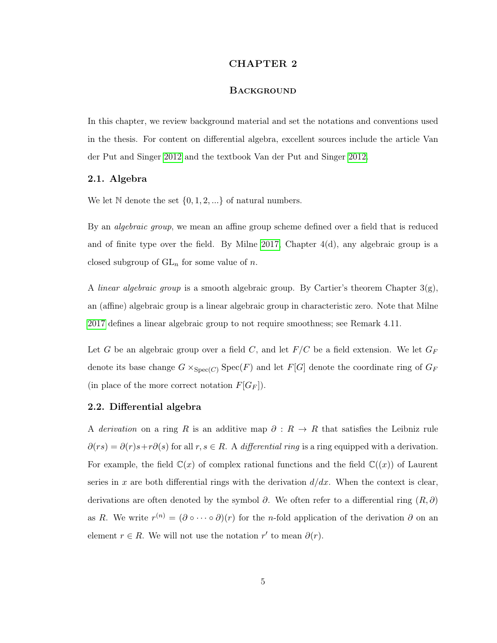## CHAPTER 2

# **BACKGROUND**

<span id="page-8-0"></span>In this chapter, we review background material and set the notations and conventions used in the thesis. For content on differential algebra, excellent sources include the article Van der Put and Singer [2012](#page-56-0) and the textbook Van der Put and Singer [2012.](#page-56-0)

## <span id="page-8-1"></span>2.1. Algebra

We let  $\mathbb N$  denote the set  $\{0, 1, 2, ...\}$  of natural numbers.

By an *algebraic group*, we mean an affine group scheme defined over a field that is reduced and of finite type over the field. By Milne [2017,](#page-56-1) Chapter  $4(d)$ , any algebraic group is a closed subgroup of  $GL_n$  for some value of n.

A *linear algebraic group* is a smooth algebraic group. By Cartier's theorem Chapter  $3(g)$ , an (affine) algebraic group is a linear algebraic group in characteristic zero. Note that Milne [2017](#page-56-1) defines a linear algebraic group to not require smoothness; see Remark 4.11.

Let G be an algebraic group over a field C, and let  $F/C$  be a field extension. We let  $G_F$ denote its base change  $G \times_{Spec(C)} Spec(F)$  and let  $F[G]$  denote the coordinate ring of  $G_F$ (in place of the more correct notation  $F[G_F]$ ).

#### <span id="page-8-2"></span>2.2. Differential algebra

A derivation on a ring R is an additive map  $\partial: R \to R$  that satisfies the Leibniz rule  $\partial(rs) = \partial(r)s + r\partial(s)$  for all  $r, s \in R$ . A differential ring is a ring equipped with a derivation. For example, the field  $\mathbb{C}(x)$  of complex rational functions and the field  $\mathbb{C}((x))$  of Laurent series in x are both differential rings with the derivation  $d/dx$ . When the context is clear, derivations are often denoted by the symbol  $\partial$ . We often refer to a differential ring  $(R, \partial)$ as R. We write  $r^{(n)} = (\partial \circ \cdots \circ \partial)(r)$  for the n-fold application of the derivation  $\partial$  on an element  $r \in R$ . We will not use the notation r' to mean  $\partial(r)$ .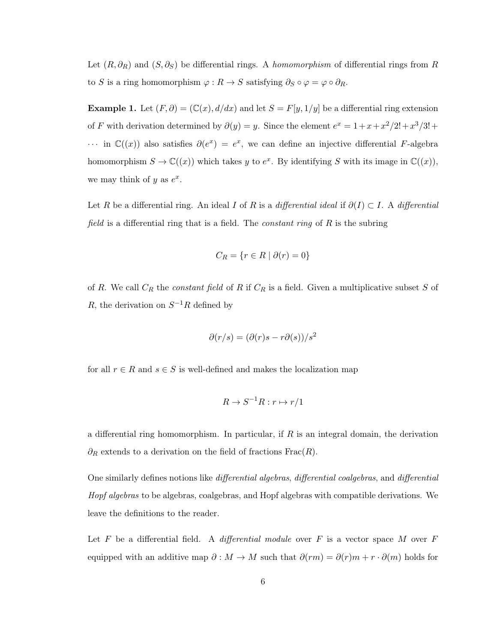Let  $(R, \partial_R)$  and  $(S, \partial_S)$  be differential rings. A *homomorphism* of differential rings from R to S is a ring homomorphism  $\varphi : R \to S$  satisfying  $\partial_S \circ \varphi = \varphi \circ \partial_R$ .

Example 1. Let  $(F, \partial) = (\mathbb{C}(x), d/dx)$  and let  $S = F[y, 1/y]$  be a differential ring extension of F with derivation determined by  $\partial(y) = y$ . Since the element  $e^x = 1 + x + x^2/2! + x^3/3! +$  $\cdots$  in C((x)) also satisfies  $\partial(e^x) = e^x$ , we can define an injective differential F-algebra homomorphism  $S \to \mathbb{C}((x))$  which takes y to  $e^x$ . By identifying S with its image in  $\mathbb{C}((x))$ , we may think of y as  $e^x$ .

Let R be a differential ring. An ideal I of R is a differential ideal if  $\partial(I) \subset I$ . A differential field is a differential ring that is a field. The *constant ring* of  $R$  is the subring

$$
C_R = \{ r \in R \mid \partial(r) = 0 \}
$$

of R. We call  $C_R$  the *constant field* of R if  $C_R$  is a field. Given a multiplicative subset S of R, the derivation on  $S^{-1}R$  defined by

$$
\partial(r/s) = (\partial(r)s - r\partial(s))/s^2
$$

for all  $r \in R$  and  $s \in S$  is well-defined and makes the localization map

$$
R \to S^{-1}R : r \mapsto r/1
$$

a differential ring homomorphism. In particular, if  $R$  is an integral domain, the derivation  $\partial_R$  extends to a derivation on the field of fractions Frac $(R)$ .

One similarly defines notions like differential algebras, differential coalgebras, and differential Hopf algebras to be algebras, coalgebras, and Hopf algebras with compatible derivations. We leave the definitions to the reader.

Let F be a differential field. A differential module over F is a vector space M over  $F$ equipped with an additive map  $\partial : M \to M$  such that  $\partial(rm) = \partial(r)m + r \cdot \partial(m)$  holds for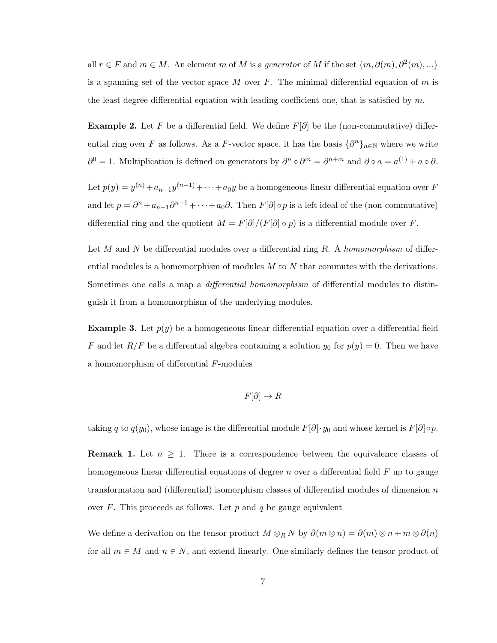all  $r \in F$  and  $m \in M$ . An element m of M is a generator of M if the set  $\{m, \partial(m), \partial^2(m), ...\}$ is a spanning set of the vector space M over F. The minimal differential equation of m is the least degree differential equation with leading coefficient one, that is satisfied by  $m$ .

**Example 2.** Let F be a differential field. We define  $F[\partial]$  be the (non-commutative) differential ring over F as follows. As a F-vector space, it has the basis  $\{\partial^n\}_{n\in\mathbb{N}}$  where we write  $\partial^0 = 1$ . Multiplication is defined on generators by  $\partial^n \circ \partial^m = \partial^{n+m}$  and  $\partial \circ a = a^{(1)} + a \circ \partial$ .

Let  $p(y) = y^{(n)} + a_{n-1}y^{(n-1)} + \cdots + a_0y$  be a homogeneous linear differential equation over F and let  $p = \partial^n + a_{n-1}\partial^{n-1} + \cdots + a_0\partial$ . Then  $F[\partial] \circ p$  is a left ideal of the (non-commutative) differential ring and the quotient  $M = F[\partial]/(F[\partial] \circ p)$  is a differential module over F.

Let M and N be differential modules over a differential ring  $R$ . A homomorphism of differential modules is a homomorphism of modules  $M$  to  $N$  that commutes with the derivations. Sometimes one calls a map a *differential homomorphism* of differential modules to distinguish it from a homomorphism of the underlying modules.

**Example 3.** Let  $p(y)$  be a homogeneous linear differential equation over a differential field F and let  $R/F$  be a differential algebra containing a solution  $y_0$  for  $p(y) = 0$ . Then we have a homomorphism of differential F-modules

$$
F[\partial]\to R
$$

taking q to  $q(y_0)$ , whose image is the differential module  $F[\partial] \cdot y_0$  and whose kernel is  $F[\partial] \circ p$ .

**Remark 1.** Let  $n \geq 1$ . There is a correspondence between the equivalence classes of homogeneous linear differential equations of degree n over a differential field  $F$  up to gauge transformation and (differential) isomorphism classes of differential modules of dimension  $n$ over  $F$ . This proceeds as follows. Let  $p$  and  $q$  be gauge equivalent

We define a derivation on the tensor product  $M \otimes_R N$  by  $\partial(m \otimes n) = \partial(m) \otimes n + m \otimes \partial(n)$ for all  $m \in M$  and  $n \in N$ , and extend linearly. One similarly defines the tensor product of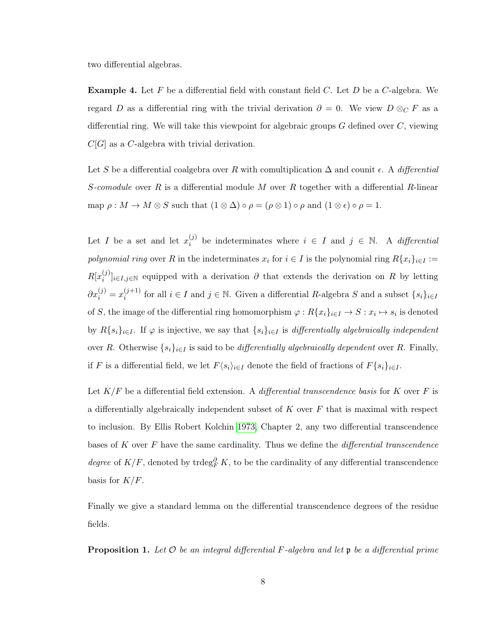two differential algebras.

**Example 4.** Let F be a differential field with constant field C. Let D be a C-algebra. We regard D as a differential ring with the trivial derivation  $\partial = 0$ . We view  $D \otimes_C F$  as a differential ring. We will take this viewpoint for algebraic groups  $G$  defined over  $C$ , viewing  $C[G]$  as a C-algebra with trivial derivation.

Let S be a differential coalgebra over R with comultiplication  $\Delta$  and counit  $\epsilon$ . A differential S-comodule over R is a differential module M over R together with a differential R-linear map  $\rho : M \to M \otimes S$  such that  $(1 \otimes \Delta) \circ \rho = (\rho \otimes 1) \circ \rho$  and  $(1 \otimes \epsilon) \circ \rho = 1$ .

Let *I* be a set and let  $x_i^{(j)}$  $i_j^{(j)}$  be indeterminates where  $i \in I$  and  $j \in \mathbb{N}$ . A *differential* polynomial ring over R in the indeterminates  $x_i$  for  $i \in I$  is the polynomial ring  $R\{x_i\}_{i\in I} :=$  $R[x_i^{(j)}]$  $[i]$ <sub>i</sub> $[i]$ <sub>i∈I,j∈N</sub> equipped with a derivation  $\partial$  that extends the derivation on R by letting  $\partial x_i^{(j)} = x_i^{(j+1)}$  $(i+1)$  for all  $i \in I$  and  $j \in \mathbb{N}$ . Given a differential R-algebra S and a subset  $\{s_i\}_{i \in I}$ of S, the image of the differential ring homomorphism  $\varphi: R\{x_i\}_{i\in I} \to S: x_i \mapsto s_i$  is denoted by  $R\{s_i\}_{i\in I}$ . If  $\varphi$  is injective, we say that  $\{s_i\}_{i\in I}$  is differentially algebraically independent over R. Otherwise  $\{s_i\}_{i\in I}$  is said to be *differentially algebraically dependent* over R. Finally, if F is a differential field, we let  $F\langle s_i \rangle_{i \in I}$  denote the field of fractions of  $F\{s_i\}_{i \in I}$ .

Let  $K/F$  be a differential field extension. A *differential transcendence basis* for K over F is a differentially algebraically independent subset of  $K$  over  $F$  that is maximal with respect to inclusion. By Ellis Robert Kolchin [1973,](#page-56-2) Chapter 2, any two differential transcendence bases of  $K$  over  $F$  have the same cardinality. Thus we define the *differential transcendence* degree of  $K/F$ , denoted by trdeg ${}_{F}^{\partial} K$ , to be the cardinality of any differential transcendence basis for  $K/F$ .

Finally we give a standard lemma on the differential transcendence degrees of the residue fields.

<span id="page-11-0"></span>**Proposition 1.** Let  $\mathcal O$  be an integral differential F-algebra and let  $\mathfrak p$  be a differential prime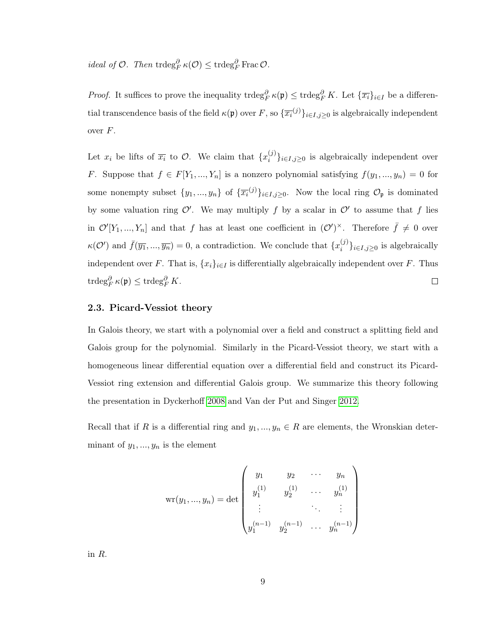*ideal of O.* Then  $\text{trdeg}_F^{\partial} \kappa(\mathcal{O}) \leq \text{trdeg}_F^{\partial} \text{Frac}\mathcal{O}.$ 

*Proof.* It suffices to prove the inequality  $\text{trdeg}_F^{\partial} \kappa(\mathfrak{p}) \leq \text{trdeg}_F^{\partial} K$ . Let  $\{\overline{x_i}\}_{i \in I}$  be a differential transcendence basis of the field  $\kappa(\mathfrak{p})$  over F, so  $\{\overline{x_i}^{(j)}\}_{i\in I,j\geq 0}$  is algebraically independent over  $F$ .

Let  $x_i$  be lifts of  $\overline{x_i}$  to  $\mathcal{O}$ . We claim that  $\{x_i^{(j)}\}$  $\{S_i^{(j)}\}_{i\in I, j\geq 0}$  is algebraically independent over F. Suppose that  $f \in F[Y_1, ..., Y_n]$  is a nonzero polynomial satisfying  $f(y_1, ..., y_n) = 0$  for some nonempty subset  $\{y_1, ..., y_n\}$  of  $\{\overline{x_i}^{(j)}\}_{i \in I, j \geq 0}$ . Now the local ring  $\mathcal{O}_{\mathfrak{p}}$  is dominated by some valuation ring  $\mathcal{O}'$ . We may multiply f by a scalar in  $\mathcal{O}'$  to assume that f lies in  $\mathcal{O}'[Y_1, ..., Y_n]$  and that f has at least one coefficient in  $(\mathcal{O}')^{\times}$ . Therefore  $\bar{f} \neq 0$  over  $\kappa(\mathcal{O}')$  and  $\bar{f}(\overline{y_1},...,\overline{y_n})=0$ , a contradiction. We conclude that  $\{x_i^{(j)}\}$  $\{u^{(j)}\}_{i\in I,j\geq 0}$  is algebraically independent over F. That is,  $\{x_i\}_{i\in I}$  is differentially algebraically independent over F. Thus  $\operatorname{trdeg}_F^{\partial} \kappa(\mathfrak{p}) \leq \operatorname{trdeg}_F^{\partial} K.$  $\Box$ 

# <span id="page-12-0"></span>2.3. Picard-Vessiot theory

In Galois theory, we start with a polynomial over a field and construct a splitting field and Galois group for the polynomial. Similarly in the Picard-Vessiot theory, we start with a homogeneous linear differential equation over a differential field and construct its Picard-Vessiot ring extension and differential Galois group. We summarize this theory following the presentation in Dyckerhoff [2008](#page-55-4) and Van der Put and Singer [2012.](#page-56-0)

Recall that if R is a differential ring and  $y_1, ..., y_n \in R$  are elements, the Wronskian determinant of  $y_1, ..., y_n$  is the element

$$
\mathrm{wr}(y_1, ..., y_n) = \det \begin{pmatrix} y_1 & y_2 & \cdots & y_n \\ y_1^{(1)} & y_2^{(1)} & \cdots & y_n^{(1)} \\ \vdots & \vdots & \ddots & \vdots \\ y_1^{(n-1)} & y_2^{(n-1)} & \cdots & y_n^{(n-1)} \end{pmatrix}
$$

in R.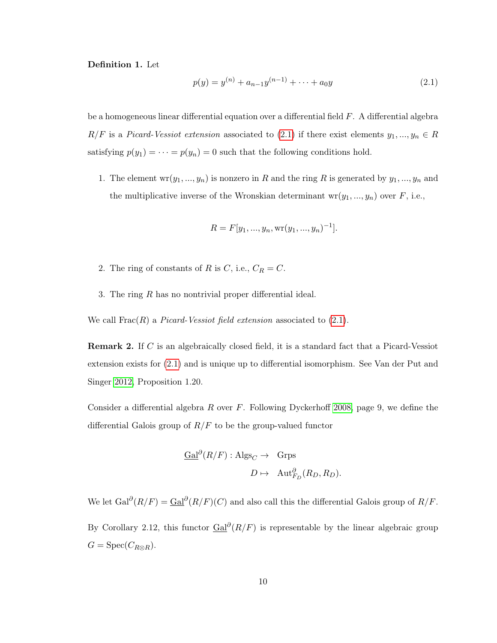Definition 1. Let

<span id="page-13-0"></span>
$$
p(y) = y^{(n)} + a_{n-1}y^{(n-1)} + \dots + a_0y \tag{2.1}
$$

be a homogeneous linear differential equation over a differential field  $F$ . A differential algebra  $R/F$  is a *Picard-Vessiot extension* associated to [\(2.1\)](#page-13-0) if there exist elements  $y_1, ..., y_n \in R$ satisfying  $p(y_1) = \cdots = p(y_n) = 0$  such that the following conditions hold.

1. The element  $wr(y_1, ..., y_n)$  is nonzero in R and the ring R is generated by  $y_1, ..., y_n$  and the multiplicative inverse of the Wronskian determinant  $wr(y_1, ..., y_n)$  over  $F$ , i.e.,

$$
R = F[y_1, ..., y_n, \text{wr}(y_1, ..., y_n)^{-1}].
$$

- 2. The ring of constants of R is C, i.e.,  $C_R = C$ .
- 3. The ring R has no nontrivial proper differential ideal.

We call  $\text{Frac}(R)$  a *Picard-Vessiot field extension* associated to  $(2.1)$ .

Remark 2. If C is an algebraically closed field, it is a standard fact that a Picard-Vessiot extension exists for [\(2.1\)](#page-13-0) and is unique up to differential isomorphism. See Van der Put and Singer [2012,](#page-56-0) Proposition 1.20.

Consider a differential algebra R over  $F$ . Following Dyckerhoff [2008,](#page-55-4) page 9, we define the differential Galois group of  $R/F$  to be the group-valued functor

$$
\frac{\text{Gal}^{\partial}(R/F) : \text{Algs}_C \to \text{Grps}}{D \mapsto \text{Aut}_{F_D}^{\partial}(R_D, R_D)}.
$$

We let  $Gal^{\partial}(R/F) = Gal^{\partial}(R/F)(C)$  and also call this the differential Galois group of  $R/F$ . By Corollary 2.12, this functor  $Gal^{\partial}(R/F)$  is representable by the linear algebraic group  $G = \text{Spec}(C_{R\otimes R}).$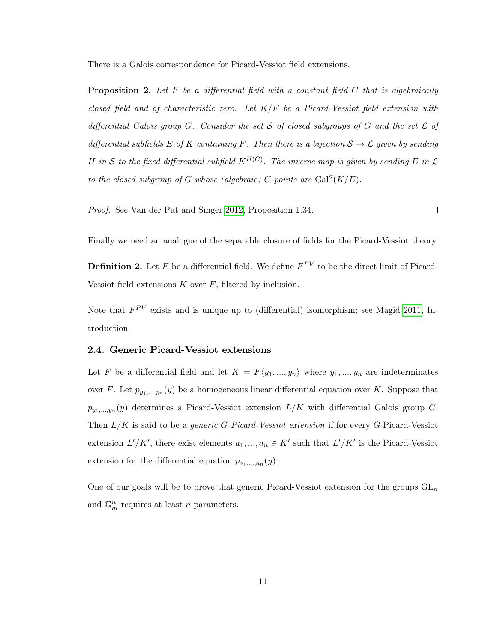There is a Galois correspondence for Picard-Vessiot field extensions.

**Proposition 2.** Let  $F$  be a differential field with a constant field  $C$  that is algebraically closed field and of characteristic zero. Let  $K/F$  be a Picard-Vessiot field extension with differential Galois group G. Consider the set S of closed subgroups of G and the set  $\mathcal L$  of differential subfields E of K containing F. Then there is a bijection  $S \to \mathcal{L}$  given by sending H in S to the fixed differential subfield  $K^{H(C)}$ . The inverse map is given by sending E in  $\mathcal L$ to the closed subgroup of G whose (algebraic) C-points are  $\text{Gal}^{\partial}(K/E)$ .

Proof. See Van der Put and Singer [2012,](#page-56-0) Proposition 1.34.  $\Box$ 

Finally we need an analogue of the separable closure of fields for the Picard-Vessiot theory.

**Definition 2.** Let F be a differential field. We define  $F^{PV}$  to be the direct limit of Picard-Vessiot field extensions  $K$  over  $F$ , filtered by inclusion.

Note that  $F^{PV}$  exists and is unique up to (differential) isomorphism; see Magid [2011,](#page-56-3) Introduction.

#### <span id="page-14-0"></span>2.4. Generic Picard-Vessiot extensions

Let F be a differential field and let  $K = F\langle y_1, ..., y_n \rangle$  where  $y_1, ..., y_n$  are indeterminates over F. Let  $p_{y_1,...,y_n}(y)$  be a homogeneous linear differential equation over K. Suppose that  $p_{y_1,\dots,y_n}(y)$  determines a Picard-Vessiot extension  $L/K$  with differential Galois group G. Then  $L/K$  is said to be a *generic G-Picard-Vessiot extension* if for every G-Picard-Vessiot extension  $L'/K'$ , there exist elements  $a_1, ..., a_n \in K'$  such that  $L'/K'$  is the Picard-Vessiot extension for the differential equation  $p_{a_1,...,a_n}(y)$ .

<span id="page-14-1"></span>One of our goals will be to prove that generic Picard-Vessiot extension for the groups  $GL_n$ and  $\mathbb{G}_m^n$  requires at least *n* parameters.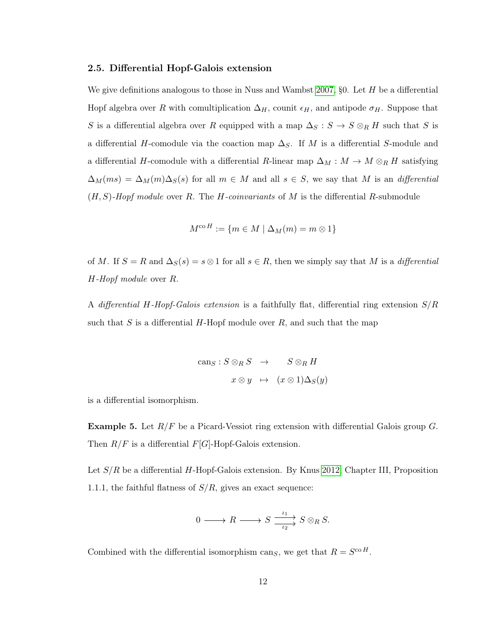#### 2.5. Differential Hopf-Galois extension

We give definitions analogous to those in Nuss and Wambst [2007,](#page-56-4)  $\S$ 0. Let H be a differential Hopf algebra over R with comultiplication  $\Delta_H$ , counit  $\epsilon_H$ , and antipode  $\sigma_H$ . Suppose that S is a differential algebra over R equipped with a map  $\Delta_S : S \to S \otimes_R H$  such that S is a differential H-comodule via the coaction map  $\Delta_S$ . If M is a differential S-module and a differential H-comodule with a differential R-linear map  $\Delta_M : M \to M \otimes_R H$  satisfying  $\Delta_M(ms) = \Delta_M(m)\Delta_S(s)$  for all  $m \in M$  and all  $s \in S$ , we say that M is an differential  $(H, S)$ -Hopf module over R. The H-coinvariants of M is the differential R-submodule

$$
M^{\mathrm{co}\,H} := \{ m \in M \mid \Delta_M(m) = m \otimes 1 \}
$$

of M. If  $S = R$  and  $\Delta_S(s) = s \otimes 1$  for all  $s \in R$ , then we simply say that M is a differential H-Hopf module over R.

A differential H-Hopf-Galois extension is a faithfully flat, differential ring extension  $S/R$ such that S is a differential H-Hopf module over  $R$ , and such that the map

$$
\begin{aligned}\n\text{can}_{S}: S \otimes_{R} S &\to & S \otimes_{R} H \\
x \otimes y &\mapsto & (x \otimes 1) \Delta_{S}(y)\n\end{aligned}
$$

is a differential isomorphism.

**Example 5.** Let  $R/F$  be a Picard-Vessiot ring extension with differential Galois group G. Then  $R/F$  is a differential  $F[G]$ -Hopf-Galois extension.

Let  $S/R$  be a differential H-Hopf-Galois extension. By Knus [2012,](#page-55-5) Chapter III, Proposition 1.1.1, the faithful flatness of  $S/R$ , gives an exact sequence:

$$
0 \longrightarrow R \longrightarrow S \xrightarrow{\iota_1} S \otimes_R S.
$$

<span id="page-15-0"></span>Combined with the differential isomorphism cans, we get that  $R = S^{\text{co }H}$ .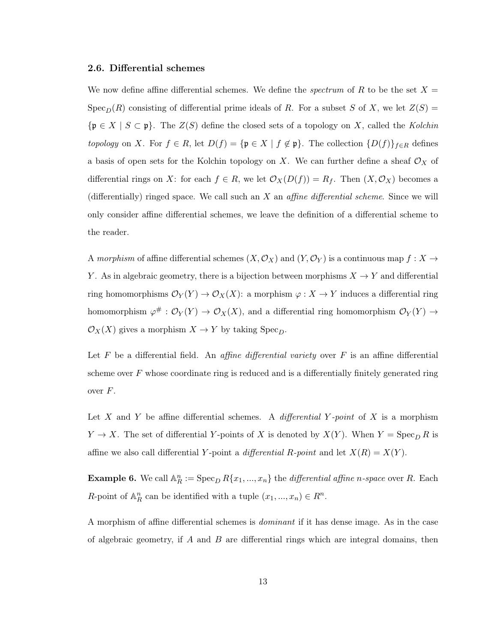#### 2.6. Differential schemes

We now define affine differential schemes. We define the *spectrum* of R to be the set  $X =$  $Spec_D(R)$  consisting of differential prime ideals of R. For a subset S of X, we let  $Z(S)$  =  ${\{\mathfrak{p}\in X\mid S\subset\mathfrak{p}}\}$ . The  $Z(S)$  define the closed sets of a topology on X, called the Kolchin topology on X. For  $f \in R$ , let  $D(f) = {\mathfrak{p} \in X \mid f \notin \mathfrak{p}}$ . The collection  ${D(f)}_{f \in R}$  defines a basis of open sets for the Kolchin topology on X. We can further define a sheaf  $\mathcal{O}_X$  of differential rings on X: for each  $f \in R$ , we let  $\mathcal{O}_X(D(f)) = R_f$ . Then  $(X, \mathcal{O}_X)$  becomes a (differentially) ringed space. We call such an  $X$  an *affine differential scheme*. Since we will only consider affine differential schemes, we leave the definition of a differential scheme to the reader.

A morphism of affine differential schemes  $(X, \mathcal{O}_X)$  and  $(Y, \mathcal{O}_Y)$  is a continuous map  $f: X \to Y$ Y. As in algebraic geometry, there is a bijection between morphisms  $X \to Y$  and differential ring homomorphisms  $\mathcal{O}_Y(Y) \to \mathcal{O}_X(X)$ : a morphism  $\varphi: X \to Y$  induces a differential ring homomorphism  $\varphi^{\#}: \mathcal{O}_Y(Y) \to \mathcal{O}_X(X)$ , and a differential ring homomorphism  $\mathcal{O}_Y(Y) \to$  $\mathcal{O}_X(X)$  gives a morphism  $X \to Y$  by taking  $Spec_D$ .

Let  $F$  be a differential field. An *affine differential variety* over  $F$  is an affine differential scheme over  $F$  whose coordinate ring is reduced and is a differentially finitely generated ring over  $F$ .

Let X and Y be affine differential schemes. A differential Y-point of X is a morphism  $Y \to X$ . The set of differential Y-points of X is denoted by  $X(Y)$ . When  $Y = \operatorname{Spec}_D R$  is affine we also call differential Y-point a differential R-point and let  $X(R) = X(Y)$ .

**Example 6.** We call  $\mathbb{A}_R^n := \operatorname{Spec}_D R\{x_1, ..., x_n\}$  the *differential affine n-space* over R. Each R-point of  $\mathbb{A}_R^n$  can be identified with a tuple  $(x_1, ..., x_n) \in R^n$ .

A morphism of affine differential schemes is dominant if it has dense image. As in the case of algebraic geometry, if  $A$  and  $B$  are differential rings which are integral domains, then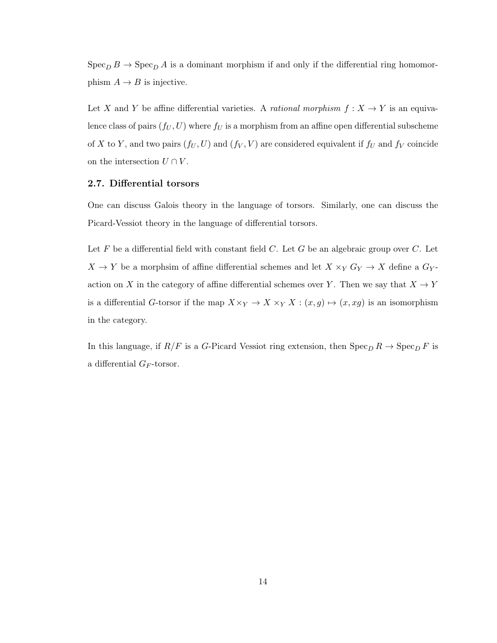$\operatorname{Spec}_D B \to \operatorname{Spec}_D A$  is a dominant morphism if and only if the differential ring homomorphism  $A \rightarrow B$  is injective.

Let X and Y be affine differential varieties. A *rational morphism*  $f: X \to Y$  is an equivalence class of pairs  $(f_U, U)$  where  $f_U$  is a morphism from an affine open differential subscheme of X to Y, and two pairs  $(f_U, U)$  and  $(f_V, V)$  are considered equivalent if  $f_U$  and  $f_V$  coincide on the intersection  $U \cap V$ .

# <span id="page-17-0"></span>2.7. Differential torsors

One can discuss Galois theory in the language of torsors. Similarly, one can discuss the Picard-Vessiot theory in the language of differential torsors.

Let  $F$  be a differential field with constant field  $C$ . Let  $G$  be an algebraic group over  $C$ . Let  $X \to Y$  be a morphsim of affine differential schemes and let  $X \times_Y G_Y \to X$  define a  $G_Y$ action on X in the category of affine differential schemes over Y. Then we say that  $X \to Y$ is a differential G-torsor if the map  $X\times_Y \to X\times_Y X$  :  $(x,g) \mapsto (x, xg)$  is an isomorphism in the category.

In this language, if  $R/F$  is a G-Picard Vessiot ring extension, then  $\text{Spec}_D R \to \text{Spec}_D F$  is a differential  $G_F$ -torsor.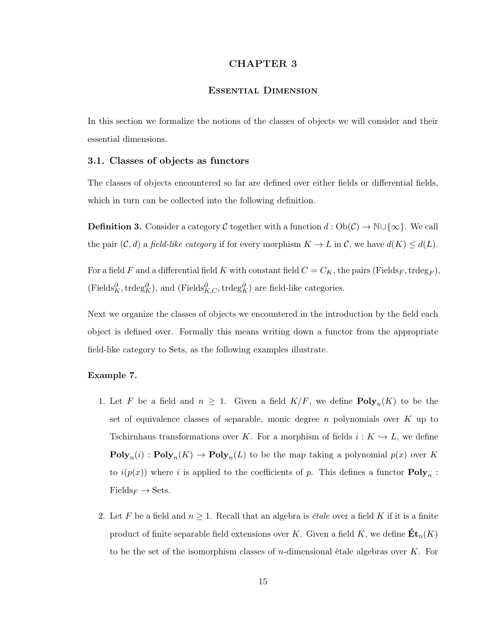## CHAPTER 3

## Essential Dimension

<span id="page-18-0"></span>In this section we formalize the notions of the classes of objects we will consider and their essential dimensions.

#### <span id="page-18-1"></span>3.1. Classes of objects as functors

The classes of objects encountered so far are defined over either fields or differential fields, which in turn can be collected into the following definition.

**Definition 3.** Consider a category C together with a function  $d: Ob(\mathcal{C}) \to \mathbb{N} \cup \{\infty\}$ . We call the pair  $(C, d)$  a field-like category if for every morphism  $K \to L$  in C, we have  $d(K) \leq d(L)$ .

For a field F and a differential field K with constant field  $C = C_K$ , the pairs (Fields<sub>F</sub>, trdeg<sub>F</sub>),  $(\text{Fields}_{K}^{\partial}, \text{trdeg}_{K}^{\partial}),$  and  $(\text{Fields}_{K,C}^{\partial}, \text{trdeg}_{K}^{\partial})$  are field-like categories.

Next we organize the classes of objects we encountered in the introduction by the field each object is defined over. Formally this means writing down a functor from the appropriate field-like category to Sets, as the following examples illustrate.

# <span id="page-18-2"></span>Example 7.

- 1. Let F be a field and  $n \geq 1$ . Given a field  $K/F$ , we define  $\text{Poly}_n(K)$  to be the set of equivalence classes of separable, monic degree  $n$  polynomials over  $K$  up to Tschirnhaus transformations over K. For a morphism of fields  $i : K \hookrightarrow L$ , we define  $\text{Poly}_n(i) : \text{Poly}_n(K) \to \text{Poly}_n(L)$  to be the map taking a polynomial  $p(x)$  over K to  $i(p(x))$  where i is applied to the coefficients of p. This defines a functor  $\text{Poly}_n$ :  $\text{Fields}_F \to \text{Sets}.$
- 2. Let F be a field and  $n \geq 1$ . Recall that an algebra is *étale* over a field K if it is a finite product of finite separable field extensions over K. Given a field K, we define  $\mathbf{Et}_n(K)$ to be the set of the isomorphism classes of *n*-dimensional étale algebras over  $K$ . For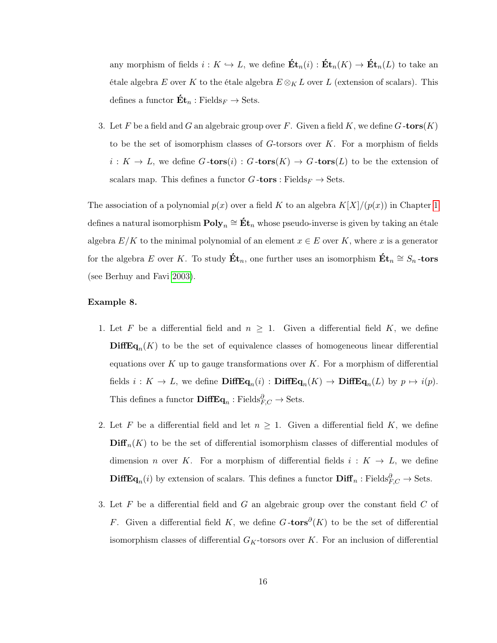any morphism of fields  $i : K \hookrightarrow L$ , we define  $\mathbf{Et}_n(i) : \mathbf{Et}_n(K) \to \mathbf{Et}_n(L)$  to take an étale algebra E over K to the étale algebra  $E \otimes_K L$  over L (extension of scalars). This defines a functor  $\mathbf{Et}_n : \text{Fields}_F \to \text{Sets}.$ 

3. Let F be a field and G an algebraic group over F. Given a field K, we define  $G\text{-tors}(K)$ to be the set of isomorphism classes of  $G$ -torsors over  $K$ . For a morphism of fields  $i: K \to L$ , we define  $G\text{-tors}(i): G\text{-tors}(K) \to G\text{-tors}(L)$  to be the extension of scalars map. This defines a functor  $G$ -tors : Fields $_F \rightarrow$  Sets.

The association of a polynomial  $p(x)$  over a field K to an algebra  $K[X]/(p(x))$  in Chapter [1](#page-4-0) defines a natural isomorphism  ${\bf Poly}_n\cong {\bf \acute{E}t}_n$  whose pseudo-inverse is given by taking an étale algebra  $E/K$  to the minimal polynomial of an element  $x \in E$  over K, where x is a generator for the algebra E over K. To study  $\mathbf{Ét}_n$ , one further uses an isomorphism  $\mathbf{Ét}_n \cong S_n$ -tors (see Berhuy and Favi [2003\)](#page-55-3).

#### Example 8.

- 1. Let F be a differential field and  $n \geq 1$ . Given a differential field K, we define  $\text{DiffEq}_n(K)$  to be the set of equivalence classes of homogeneous linear differential equations over  $K$  up to gauge transformations over  $K$ . For a morphism of differential fields  $i: K \to L$ , we define  $\mathbf{DiffEq}_n(i) : \mathbf{DiffEq}_n(K) \to \mathbf{DiffEq}_n(L)$  by  $p \mapsto i(p)$ . This defines a functor  $\mathbf{DiffEq}_n : \text{Fields}_{F,C}^{\partial} \to \text{Sets}.$
- 2. Let F be a differential field and let  $n \geq 1$ . Given a differential field K, we define  $\text{Diff}_n(K)$  to be the set of differential isomorphism classes of differential modules of dimension *n* over K. For a morphism of differential fields  $i: K \rightarrow L$ , we define **DiffEq**<sub>n</sub>(i) by extension of scalars. This defines a functor  $\text{Diff}_{n}$ : Fields ${}_{F,C}^{\partial} \rightarrow$  Sets.
- 3. Let  $F$  be a differential field and  $G$  an algebraic group over the constant field  $C$  of F. Given a differential field K, we define  $G$ -tors $\partial(K)$  to be the set of differential isomorphism classes of differential  $G_K$ -torsors over K. For an inclusion of differential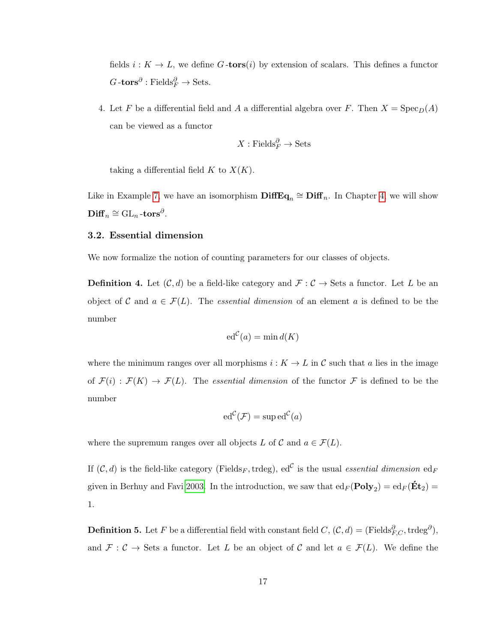fields  $i : K \to L$ , we define G-tors(i) by extension of scalars. This defines a functor  $G\text{-tors}^\partial : \text{Fields}_F^\partial \to \text{Sets}.$ 

4. Let F be a differential field and A a differential algebra over F. Then  $X = \text{Spec}_D(A)$ can be viewed as a functor

$$
X: \mathrm{Fields}_F^{\partial} \to \mathrm{Sets}
$$

taking a differential field  $K$  to  $X(K)$ .

Like in Example [7,](#page-18-2) we have an isomorphism  $\mathbf{DiffEq}_n \cong \mathbf{Diff}_n$ . In Chapter [4,](#page-25-0) we will show  $\mathbf{Diff}_n \cong \mathrm{GL}_n\text{-tors}^\partial.$ 

#### <span id="page-20-0"></span>3.2. Essential dimension

We now formalize the notion of counting parameters for our classes of objects.

**Definition 4.** Let  $(C, d)$  be a field-like category and  $\mathcal{F} : C \to \mathsf{Sets}$  a functor. Let L be an object of C and  $a \in \mathcal{F}(L)$ . The *essential dimension* of an element a is defined to be the number

$$
\mathrm{ed}^{\mathcal{C}}(a) = \min d(K)
$$

where the minimum ranges over all morphisms  $i : K \to L$  in C such that a lies in the image of  $\mathcal{F}(i) : \mathcal{F}(K) \to \mathcal{F}(L)$ . The essential dimension of the functor  $\mathcal{F}$  is defined to be the number

$$
\mathrm{ed}^{\mathcal{C}}(\mathcal{F})=\mathrm{sup}\,\mathrm{ed}^{\mathcal{C}}(a)
$$

where the supremum ranges over all objects L of C and  $a \in \mathcal{F}(L)$ .

If  $(C, d)$  is the field-like category (Fields<sub>F</sub>, trdeg), ed<sup>c</sup> is the usual *essential dimension* ed<sub>F</sub> given in Berhuy and Favi [2003.](#page-55-3) In the introduction, we saw that  $ed_F(Poly_2) = ed_F(\mathbf{Ét}_2)$ 1.

**Definition 5.** Let F be a differential field with constant field  $C$ ,  $(C, d) = (\text{Fields}_{F, C}^{\partial}, \text{trdeg}^{\partial}),$ and  $\mathcal{F}: \mathcal{C} \to \mathcal{S}$ ets a functor. Let L be an object of C and let  $a \in \mathcal{F}(L)$ . We define the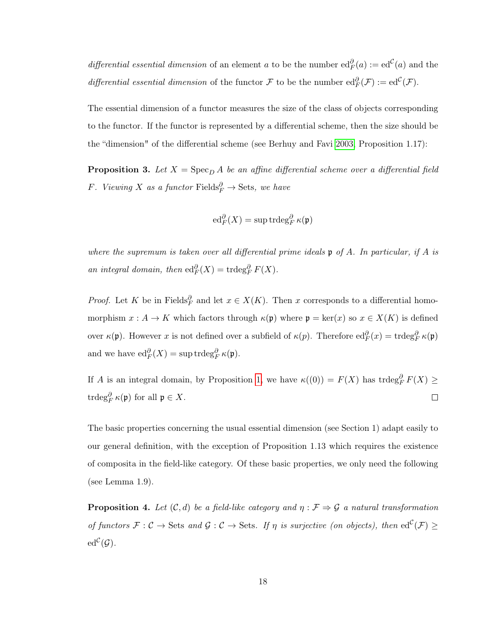differential essential dimension of an element a to be the number  $ed_F^{\partial}(a) := ed^{\mathcal{C}}(a)$  and the differential essential dimension of the functor F to be the number  $ed_F^{\partial}(\mathcal{F}) := ed^{\mathcal{C}}(\mathcal{F})$ .

The essential dimension of a functor measures the size of the class of objects corresponding to the functor. If the functor is represented by a differential scheme, then the size should be the "dimension" of the differential scheme (see Berhuy and Favi [2003,](#page-55-3) Proposition 1.17):

**Proposition 3.** Let  $X = \text{Spec}_D A$  be an affine differential scheme over a differential field F. Viewing X as a functor Fields $_P^{\partial} \rightarrow$  Sets, we have

$$
\operatorname{ed}_F^{\partial}(X)=\sup \operatorname{trdeg}_F^{\partial} \kappa(\mathfrak{p})
$$

where the supremum is taken over all differential prime ideals  $\mathfrak p$  of A. In particular, if A is an integral domain, then  $\mathrm{ed}_F^{\partial}(X) = \mathrm{trdeg}_F^{\partial} F(X)$ .

*Proof.* Let K be in Fields $^{\partial}_F$  and let  $x \in X(K)$ . Then x corresponds to a differential homomorphism  $x : A \to K$  which factors through  $\kappa(\mathfrak{p})$  where  $\mathfrak{p} = \text{ker}(x)$  so  $x \in X(K)$  is defined over  $\kappa(\mathfrak{p})$ . However x is not defined over a subfield of  $\kappa(p)$ . Therefore  $ed_F^{\partial}(x) = \text{trdeg}_F^{\partial} \kappa(\mathfrak{p})$ and we have  $\mathrm{ed}_F^{\partial}(X) = \mathrm{sup} \mathrm{trdeg}_F^{\partial} \kappa(\mathfrak{p}).$ 

If A is an integral domain, by Proposition [1,](#page-11-0) we have  $\kappa((0)) = F(X)$  has trdeg $^{\partial}_{F} F(X) \geq$ trdeg $_{F}^{\partial}$   $\kappa(\mathfrak{p})$  for all  $\mathfrak{p} \in X$ .  $\Box$ 

The basic properties concerning the usual essential dimension (see Section 1) adapt easily to our general definition, with the exception of Proposition 1.13 which requires the existence of composita in the field-like category. Of these basic properties, we only need the following (see Lemma 1.9).

<span id="page-21-0"></span>**Proposition 4.** Let  $(C, d)$  be a field-like category and  $\eta : \mathcal{F} \Rightarrow \mathcal{G}$  a natural transformation of functors  $\mathcal{F}: \mathcal{C} \to \mathcal{S}$  and  $\mathcal{G}: \mathcal{C} \to \mathcal{S}$  ets. If  $\eta$  is surjective (on objects), then  $ed^{\mathcal{C}}(\mathcal{F}) \ge$  $\mathrm{ed}^{\mathcal{C}}(\mathcal{G}).$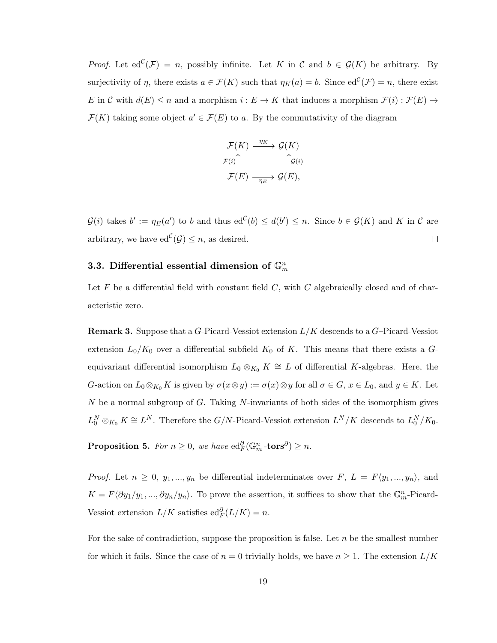*Proof.* Let  $ed^{\mathcal{C}}(\mathcal{F}) = n$ , possibly infinite. Let K in C and  $b \in \mathcal{G}(K)$  be arbitrary. By surjectivity of  $\eta$ , there exists  $a \in \mathcal{F}(K)$  such that  $\eta_K(a) = b$ . Since  $ed^{\mathcal{C}}(\mathcal{F}) = n$ , there exist E in C with  $d(E) \le n$  and a morphism  $i : E \to K$  that induces a morphism  $\mathcal{F}(i) : \mathcal{F}(E) \to$  $\mathcal{F}(K)$  taking some object  $a' \in \mathcal{F}(E)$  to a. By the commutativity of the diagram

$$
\mathcal{F}(K) \xrightarrow{\eta_K} \mathcal{G}(K)
$$

$$
\mathcal{F}(i) \uparrow \qquad \qquad \uparrow \mathcal{G}(i)
$$

$$
\mathcal{F}(E) \xrightarrow{\eta_E} \mathcal{G}(E),
$$

 $\mathcal{G}(i)$  takes  $b' := \eta_E(a')$  to b and thus  $ed^{\mathcal{C}}(b) \leq d(b') \leq n$ . Since  $b \in \mathcal{G}(K)$  and K in C are arbitrary, we have  $ed^{\mathcal{C}}(\mathcal{G}) \leq n$ , as desired.  $\Box$ 

# <span id="page-22-0"></span>3.3. Differential essential dimension of  $\mathbb{G}_m^n$

Let  $F$  be a differential field with constant field  $C$ , with  $C$  algebraically closed and of characteristic zero.

**Remark 3.** Suppose that a G-Picard-Vessiot extension  $L/K$  descends to a G-Picard-Vessiot extension  $L_0/K_0$  over a differential subfield  $K_0$  of K. This means that there exists a Gequivariant differential isomorphism  $L_0 \otimes_{K_0} K \cong L$  of differential K-algebras. Here, the G-action on  $L_0 \otimes_{K_0} K$  is given by  $\sigma(x \otimes y) := \sigma(x) \otimes y$  for all  $\sigma \in G$ ,  $x \in L_0$ , and  $y \in K$ . Let  $N$  be a normal subgroup of  $G$ . Taking  $N$ -invariants of both sides of the isomorphism gives  $L_0^N \otimes_{K_0} K \cong L^N$ . Therefore the  $G/N$ -Picard-Vessiot extension  $L^N/K$  descends to  $L_0^N/K_0$ .

<span id="page-22-1"></span>Proposition 5. For  $n \geq 0$ , we have  $\mathrm{ed}_F^{\partial}(\mathbb{G}_m^n\text{-tors}^{\partial}) \geq n$ .

*Proof.* Let  $n \geq 0, y_1, ..., y_n$  be differential indeterminates over  $F, L = F(y_1, ..., y_n)$ , and  $K = F \langle \partial y_1/y_1, ..., \partial y_n/y_n \rangle$ . To prove the assertion, it suffices to show that the  $\mathbb{G}_m^n$ -Picard-Vessiot extension  $L/K$  satisfies  $ed_F^{\partial}(L/K) = n$ .

For the sake of contradiction, suppose the proposition is false. Let  $n$  be the smallest number for which it fails. Since the case of  $n = 0$  trivially holds, we have  $n \geq 1$ . The extension  $L/K$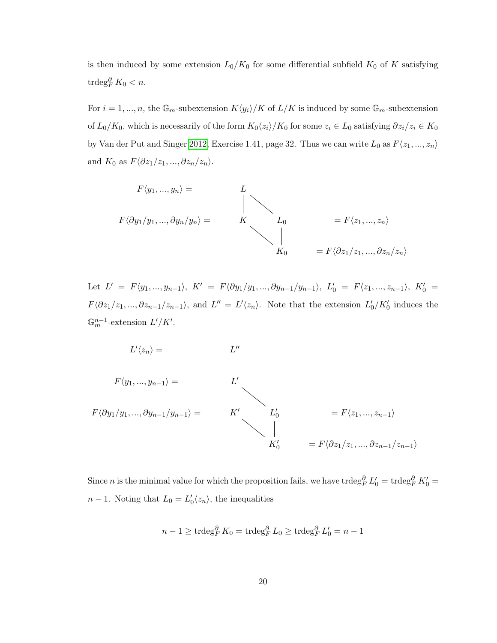is then induced by some extension  $L_0/K_0$  for some differential subfield  $K_0$  of K satisfying trdeg $_{F}^{\partial} K_0 < n$ .

For  $i = 1, ..., n$ , the  $\mathbb{G}_m$ -subextension  $K\langle y_i \rangle/K$  of  $L/K$  is induced by some  $\mathbb{G}_m$ -subextension of  $L_0/K_0$ , which is necessarily of the form  $K_0\langle z_i\rangle/K_0$  for some  $z_i \in L_0$  satisfying  $\partial z_i/z_i \in K_0$ by Van der Put and Singer [2012,](#page-56-0) Exercise 1.41, page 32. Thus we can write  $L_0$  as  $F\langle z_1, ..., z_n \rangle$ and  $K_0$  as  $F\langle \partial z_1/z_1, ..., \partial z_n/z_n \rangle$ .

$$
F\langle y_1, ..., y_n \rangle = L
$$
  
\n
$$
F\langle \partial y_1/y_1, ..., \partial y_n/y_n \rangle = K
$$
  
\n
$$
L_0 = F\langle z_1, ..., z_n \rangle
$$
  
\n
$$
K_0 = F\langle \partial z_1/z_1, ..., \partial z_n/z_n \rangle
$$

Let  $L' = F \langle y_1, ..., y_{n-1} \rangle$ ,  $K' = F \langle \partial y_1/y_1, ..., \partial y_{n-1}/y_{n-1} \rangle$ ,  $L'_0 = F \langle z_1, ..., z_{n-1} \rangle$ ,  $K'_0 =$  $F\langle \partial z_1/z_1, ..., \partial z_{n-1}/z_{n-1} \rangle$ , and  $L'' = L'\langle z_n \rangle$ . Note that the extension  $L'_0/K'_0$  induces the  $\mathbb{G}_m^{n-1}$ -extension  $L'/K'$ .



Since *n* is the minimal value for which the proposition fails, we have trdeg $_P^{\partial} L'_0 = \text{trdeg}_F^{\partial} K'_0 =$  $n-1$ . Noting that  $L_0 = L'_0 \langle z_n \rangle$ , the inequalities

$$
n-1 \geq \operatorname{trdeg}_{F}^{\partial} K_0 = \operatorname{trdeg}_{F}^{\partial} L_0 \geq \operatorname{trdeg}_{F}^{\partial} L'_0 = n-1
$$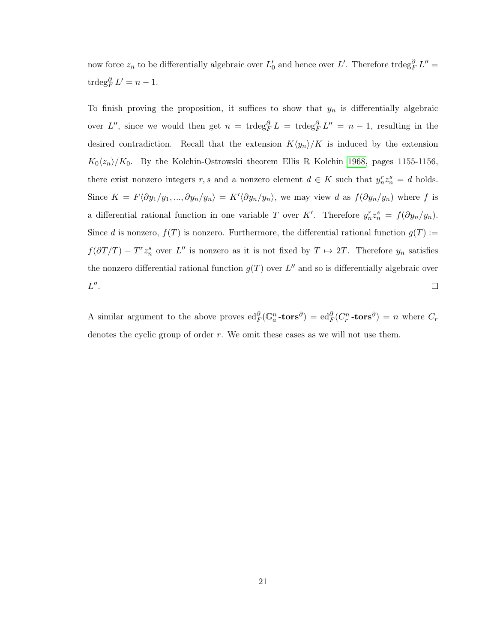now force  $z_n$  to be differentially algebraic over  $L'_0$  and hence over  $L'$ . Therefore trdeg ${}_{F}^{\partial} L'' =$  $\operatorname{trdeg}_F^{\partial} L' = n - 1.$ 

To finish proving the proposition, it suffices to show that  $y_n$  is differentially algebraic over L'', since we would then get  $n = \text{trdeg}_F^{\partial} L = \text{trdeg}_F^{\partial} L'' = n - 1$ , resulting in the desired contradiction. Recall that the extension  $K\langle y_n \rangle/K$  is induced by the extension  $K_0\langle z_n\rangle/K_0$ . By the Kolchin-Ostrowski theorem Ellis R Kolchin [1968,](#page-55-6) pages 1155-1156, there exist nonzero integers r, s and a nonzero element  $d \in K$  such that  $y_n^r z_n^s = d$  holds. Since  $K = F \langle \partial y_1/y_1, ..., \partial y_n/y_n \rangle = K' \langle \partial y_n/y_n \rangle$ , we may view d as  $f(\partial y_n/y_n)$  where f is a differential rational function in one variable T over K'. Therefore  $y_n^r z_n^s = f(\partial y_n/y_n)$ . Since d is nonzero,  $f(T)$  is nonzero. Furthermore, the differential rational function  $g(T)$ :  $f(\partial T/T) - T^r z_n^s$  over L'' is nonzero as it is not fixed by  $T \mapsto 2T$ . Therefore  $y_n$  satisfies the nonzero differential rational function  $g(T)$  over  $L''$  and so is differentially algebraic over  $L''$ .  $\Box$ 

A similar argument to the above proves  $ed_F^{\partial}(\mathbb{G}_a^n \text{-tors}^{\partial}) = ed_F^{\partial}(C_r^n \text{-tors}^{\partial}) = n$  where  $C_r$ denotes the cyclic group of order  $r$ . We omit these cases as we will not use them.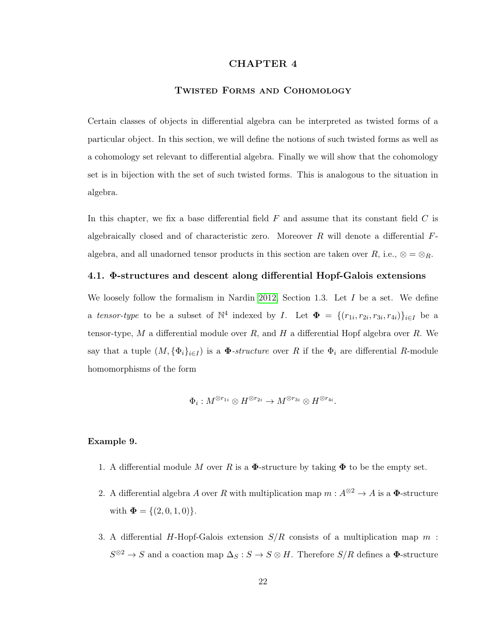### CHAPTER 4

## Twisted Forms and Cohomology

<span id="page-25-0"></span>Certain classes of objects in differential algebra can be interpreted as twisted forms of a particular object. In this section, we will define the notions of such twisted forms as well as a cohomology set relevant to differential algebra. Finally we will show that the cohomology set is in bijection with the set of such twisted forms. This is analogous to the situation in algebra.

In this chapter, we fix a base differential field  $F$  and assume that its constant field  $C$  is algebraically closed and of characteristic zero. Moreover  $R$  will denote a differential  $F$ algebra, and all unadorned tensor products in this section are taken over R, i.e.,  $\otimes = \otimes_R$ .

#### <span id="page-25-1"></span>4.1. Φ-structures and descent along differential Hopf-Galois extensions

We loosely follow the formalism in Nardin [2012,](#page-56-5) Section 1.3. Let  $I$  be a set. We define a tensor-type to be a subset of  $\mathbb{N}^4$  indexed by I. Let  $\mathbf{\Phi} = \{(r_{1i}, r_{2i}, r_{3i}, r_{4i})\}_{i \in I}$  be a tensor-type, M a differential module over  $R$ , and  $H$  a differential Hopf algebra over  $R$ . We say that a tuple  $(M, {\{\Phi_i\}_{i\in I}})$  is a  $\Phi$ -structure over R if the  $\Phi_i$  are differential R-module homomorphisms of the form

$$
\Phi_i: M^{\otimes r_{1i}} \otimes H^{\otimes r_{2i}} \to M^{\otimes r_{3i}} \otimes H^{\otimes r_{4i}}.
$$

## Example 9.

- 1. A differential module M over R is a  $\Phi$ -structure by taking  $\Phi$  to be the empty set.
- 2. A differential algebra A over R with multiplication map  $m: A^{\otimes 2} \to A$  is a  $\Phi$ -structure with  $\mathbf{\Phi} = \{(2, 0, 1, 0)\}.$
- 3. A differential H-Hopf-Galois extension  $S/R$  consists of a multiplication map m:  $S^{\otimes 2} \to S$  and a coaction map  $\Delta_S : S \to S \otimes H$ . Therefore  $S/R$  defines a  $\Phi$ -structure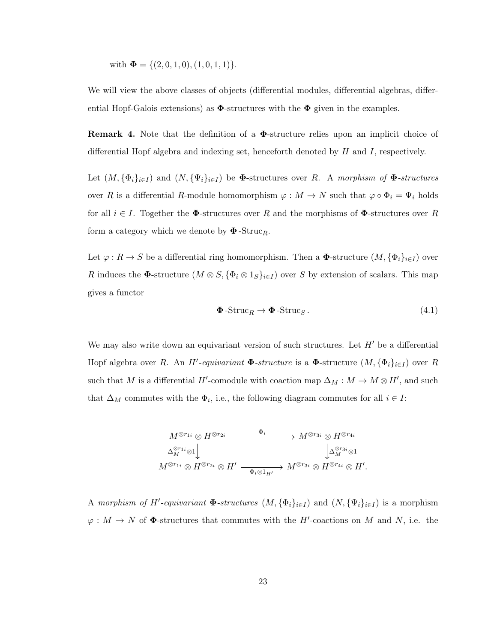with 
$$
\mathbf{\Phi} = \{(2,0,1,0),(1,0,1,1)\}.
$$

We will view the above classes of objects (differential modules, differential algebras, differential Hopf-Galois extensions) as  $\Phi$ -structures with the  $\Phi$  given in the examples.

Remark 4. Note that the definition of a Φ-structure relies upon an implicit choice of differential Hopf algebra and indexing set, henceforth denoted by  $H$  and  $I$ , respectively.

Let  $(M, {\{\Phi_i\}_{i\in I}})$  and  $(N, {\{\Psi_i\}_{i\in I}})$  be  $\Phi$ -structures over R. A morphism of  $\Phi$ -structures over R is a differential R-module homomorphism  $\varphi : M \to N$  such that  $\varphi \circ \Phi_i = \Psi_i$  holds for all  $i \in I$ . Together the  $\Phi$ -structures over R and the morphisms of  $\Phi$ -structures over R form a category which we denote by  $\Phi$ -Struc<sub>R</sub>.

Let  $\varphi: R \to S$  be a differential ring homomorphism. Then a  $\Phi$ -structure  $(M, {\{\Phi_i\}}_{i\in I})$  over R induces the  $\Phi$ -structure  $(M \otimes S, {\{\Phi_i \otimes 1_S\}_{i \in I}})$  over S by extension of scalars. This map gives a functor

<span id="page-26-0"></span>
$$
\mathbf{\Phi}\text{-Struc}_R \to \mathbf{\Phi}\text{-Struc}_S. \tag{4.1}
$$

We may also write down an equivariant version of such structures. Let  $H'$  be a differential Hopf algebra over R. An H'-equivariant  $\Phi$ -structure is a  $\Phi$ -structure  $(M, {\{\Phi_i\}}_{i\in I})$  over R such that M is a differential H'-comodule with coaction map  $\Delta_M : M \to M \otimes H'$ , and such that  $\Delta_M$  commutes with the  $\Phi_i$ , i.e., the following diagram commutes for all  $i \in I$ :

$$
M^{\otimes r_{1i}} \otimes H^{\otimes r_{2i}} \xrightarrow{\Phi_i} M^{\otimes r_{3i}} \otimes H^{\otimes r_{4i}}
$$
  

$$
\Delta_M^{\otimes r_{1i}} \otimes 1 \downarrow \qquad \qquad \downarrow \Delta_M^{\otimes r_{3i}} \otimes 1
$$
  

$$
M^{\otimes r_{1i}} \otimes H^{\otimes r_{2i}} \otimes H' \xrightarrow{\Phi_i \otimes 1_{H'}} M^{\otimes r_{3i}} \otimes H^{\otimes r_{4i}} \otimes H'.
$$

A morphism of H'-equivariant  $\Phi$ -structures  $(M, {\{\Phi_i\}}_{i\in I})$  and  $(N, {\{\Psi_i\}}_{i\in I})$  is a morphism  $\varphi: M \to N$  of  $\Phi$ -structures that commutes with the H'-coactions on M and N, i.e. the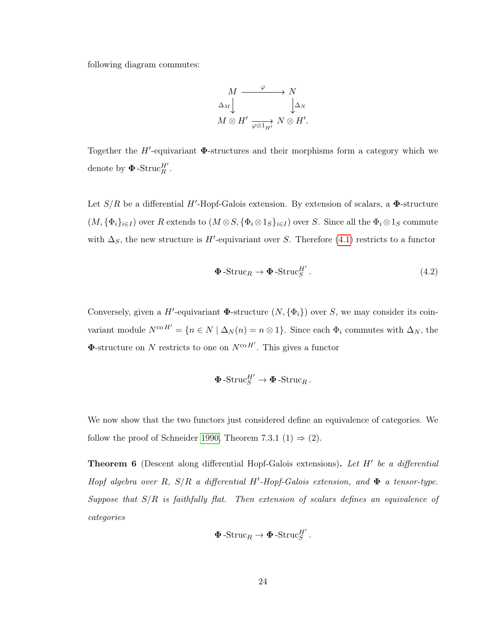following diagram commutes:

$$
M \xrightarrow{\varphi} N
$$
  
\n
$$
\Delta_M \downarrow \qquad \qquad \downarrow \Delta_N
$$
  
\n
$$
M \otimes H' \xrightarrow[\varphi \otimes 1_{H'}]{} N \otimes H'.
$$

Together the  $H'$ -equivariant  $\Phi$ -structures and their morphisms form a category which we denote by  $\pmb{\Phi}$ -Struc $_R^{H'}$ .

Let  $S/R$  be a differential H'-Hopf-Galois extension. By extension of scalars, a  $\Phi$ -structure  $(M, {\{\Phi_i\}_{i\in I}})$  over R extends to  $(M \otimes S, {\{\Phi_i \otimes 1_S\}_{i\in I}})$  over S. Since all the  $\Phi_i \otimes 1_S$  commute with  $\Delta_S$ , the new structure is H'-equivariant over S. Therefore [\(4.1\)](#page-26-0) restricts to a functor

$$
\mathbf{\Phi} - \text{Struc}_R \to \mathbf{\Phi} - \text{Struc}_S^{H'}.
$$
\n(4.2)

Conversely, given a H'-equivariant  $\Phi$ -structure  $(N, {\Phi_i})$  over S, we may consider its coinvariant module  $N^{co H'} = \{n \in N \mid \Delta_N(n) = n \otimes 1\}$ . Since each  $\Phi_i$  commutes with  $\Delta_N$ , the  $\Phi$ -structure on N restricts to one on  $N^{\text{co }H'}$ . This gives a functor

$$
\pmb{\Phi}\operatorname{-Struc}^{H'}_S\to \pmb{\Phi}\operatorname{-Struc}_R.
$$

We now show that the two functors just considered define an equivalence of categories. We follow the proof of Schneider [1990,](#page-56-6) Theorem 7.3.1 (1)  $\Rightarrow$  (2).

<span id="page-27-0"></span>**Theorem 6** (Descent along differential Hopf-Galois extensions). Let  $H'$  be a differential Hopf algebra over R,  $S/R$  a differential H'-Hopf-Galois extension, and  $\Phi$  a tensor-type. Suppose that  $S/R$  is faithfully flat. Then extension of scalars defines an equivalence of categories

$$
\mathbf{\Phi}\text{-Struc}_R \to \mathbf{\Phi}\text{-Struc}_S^{H'}.
$$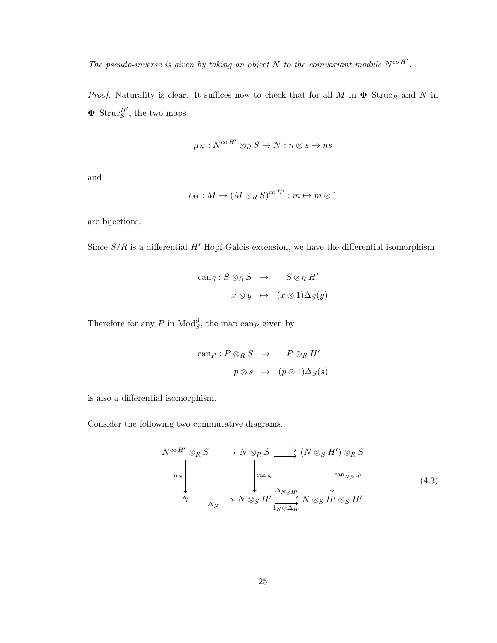The pseudo-inverse is given by taking an object N to the coinvariant module  $N^{\text{co }H'}$ .

*Proof.* Naturality is clear. It suffices now to check that for all  $M$  in  $\Phi$ -Struc<sub>R</sub> and N in  $\Phi$ -Struc $_S^{H'}$ , the two maps

$$
\mu_N: N^{{\rm co}\,H'}\otimes_R S\to N:n\otimes s\mapsto ns
$$

and

$$
\iota_M: M \to (M \otimes_R S)^{\mathrm{co}\,H'} : m \mapsto m \otimes 1
$$

are bijections.

Since  $S/R$  is a differential H'-Hopf-Galois extension, we have the differential isomorphism

$$
\begin{array}{rcl}\n\text{can}_{S}: S \otimes_{R} S & \to & S \otimes_{R} H' \\
x \otimes y & \mapsto & (x \otimes 1) \Delta_{S}(y)\n\end{array}
$$

Therefore for any P in  $\text{Mod}_{S}^{\partial}$ , the map can<sub>P</sub> given by

$$
\begin{array}{rcl}\n\text{can}_P: P \otimes_R S & \to & P \otimes_R H' \\
& & p \otimes s \quad \mapsto & (p \otimes 1) \Delta_S(s)\n\end{array}
$$

is also a differential isomorphism.

Consider the following two commutative diagrams.

<span id="page-28-0"></span>
$$
N^{\text{co }H'} \otimes_{R} S \longrightarrow N \otimes_{R} S \longrightarrow (N \otimes_{S} H') \otimes_{R} S
$$
  
\n
$$
\downarrow \qquad \qquad \downarrow \qquad \qquad \downarrow \qquad \qquad \downarrow \qquad \qquad \downarrow \qquad \qquad \downarrow \qquad \qquad \downarrow \qquad \qquad \downarrow
$$
  
\n
$$
N \longrightarrow N \otimes_{S} H' \xrightarrow{\Delta_{N \otimes H'}} N \otimes_{S} H' \otimes_{S} H' \qquad (4.3)
$$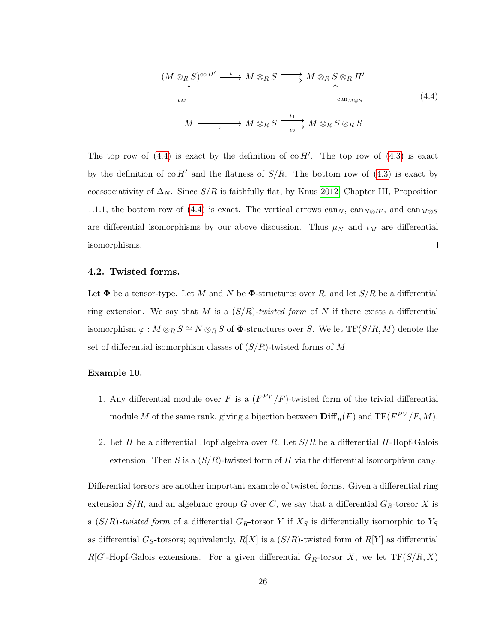<span id="page-29-1"></span>
$$
(M \otimes_R S)^{\text{co }H'} \xrightarrow{\iota} M \otimes_R S \xrightarrow{\longrightarrow} M \otimes_R S \otimes_R H'
$$
  
\n
$$
\downarrow M
$$
\n
$$
\downarrow M \xrightarrow{\iota} M \otimes_R S \xrightarrow{\iota_1} M \otimes_R S \otimes_R S
$$
\n
$$
(4.4)
$$

The top row of  $(4.4)$  is exact by the definition of co H'. The top row of  $(4.3)$  is exact by the definition of co  $H'$  and the flatness of  $S/R$ . The bottom row of [\(4.3\)](#page-28-0) is exact by coassociativity of  $\Delta_N$ . Since  $S/R$  is faithfully flat, by Knus [2012,](#page-55-5) Chapter III, Proposition 1.1.1, the bottom row of [\(4.4\)](#page-29-1) is exact. The vertical arrows can<sub>N</sub>, can<sub>N⊗H'</sub>, and can<sub>M⊗S</sub> are differential isomorphisms by our above discussion. Thus  $\mu_N$  and  $\iota_M$  are differential  $\Box$ isomorphisms.

#### <span id="page-29-0"></span>4.2. Twisted forms.

Let  $\Phi$  be a tensor-type. Let M and N be  $\Phi$ -structures over R, and let  $S/R$  be a differential ring extension. We say that M is a  $(S/R)$ -twisted form of N if there exists a differential isomorphism  $\varphi : M \otimes_R S \cong N \otimes_R S$  of  $\Phi$ -structures over S. We let TF(S/R, M) denote the set of differential isomorphism classes of  $(S/R)$ -twisted forms of M.

#### <span id="page-29-2"></span>Example 10.

- 1. Any differential module over F is a  $(F^{PV}/F)$ -twisted form of the trivial differential module M of the same rank, giving a bijection between  $\text{Diff}_n(F)$  and  $\text{TF}(F^{PV}/F, M)$ .
- 2. Let H be a differential Hopf algebra over R. Let  $S/R$  be a differential H-Hopf-Galois extension. Then S is a  $(S/R)$ -twisted form of H via the differential isomorphism cang.

Differential torsors are another important example of twisted forms. Given a differential ring extension  $S/R$ , and an algebraic group G over C, we say that a differential  $G_R$ -torsor X is a  $(S/R)$ -twisted form of a differential  $G_R$ -torsor Y if  $X_S$  is differentially isomorphic to  $Y_S$ as differential G<sub>S</sub>-torsors; equivalently,  $R[X]$  is a  $(S/R)$ -twisted form of  $R[Y]$  as differential  $R[G]$ -Hopf-Galois extensions. For a given differential  $G_R$ -torsor X, we let  $TF(S/R, X)$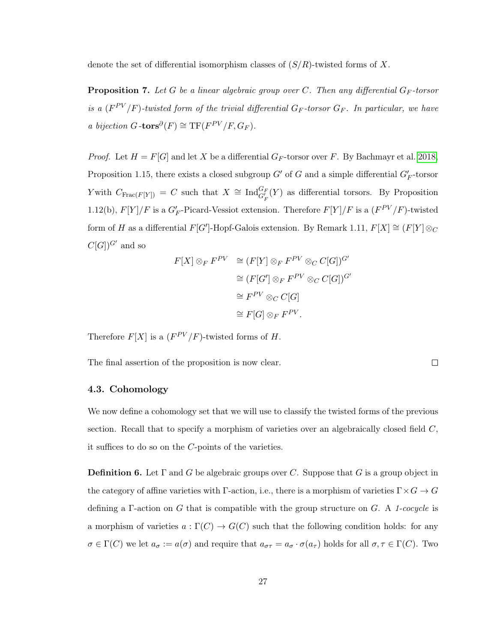denote the set of differential isomorphism classes of  $(S/R)$ -twisted forms of X.

<span id="page-30-1"></span>**Proposition 7.** Let G be a linear algebraic group over C. Then any differential  $G_F$ -torsor is a  $(F^{PV}/F)$ -twisted form of the trivial differential  $G_F$ -torsor  $G_F$ . In particular, we have a bijection  $G$ -tors $^{\partial}(F) \cong \mathrm{TF}(F^{PV}/F, G_F)$ .

*Proof.* Let  $H = F[G]$  and let X be a differential  $G_F$ -torsor over F. By Bachmayr et al. [2018,](#page-55-7) Proposition 1.15, there exists a closed subgroup  $G'$  of G and a simple differential  $G_F'$ -torsor Y with  $C_{\text{Frac}(F[Y])} = C$  such that  $X \cong \text{Ind}_{G_F'}^{G_F}(Y)$  as differential torsors. By Proposition 1.12(b),  $F[Y]/F$  is a  $G'_F$ -Picard-Vessiot extension. Therefore  $F[Y]/F$  is a  $(F^{PV}/F)$ -twisted form of H as a differential  $F[G']$ -Hopf-Galois extension. By Remark 1.11,  $F[X] \cong (F[Y] \otimes_C Y)$  $C[G]]^{G'}$  and so

$$
F[X] \otimes_F F^{PV} \cong (F[Y] \otimes_F F^{PV} \otimes_C C[G])^{G'}
$$

$$
\cong (F[G'] \otimes_F F^{PV} \otimes_C C[G])^{G'}
$$

$$
\cong F^{PV} \otimes_C C[G]
$$

$$
\cong F[G] \otimes_F F^{PV}.
$$

Therefore  $F[X]$  is a  $(F^{PV}/F)$ -twisted forms of H.

<span id="page-30-0"></span>The final assertion of the proposition is now clear.

## 4.3. Cohomology

We now define a cohomology set that we will use to classify the twisted forms of the previous section. Recall that to specify a morphism of varieties over an algebraically closed field  $C$ , it suffices to do so on the C-points of the varieties.

 $\Box$ 

**Definition 6.** Let  $\Gamma$  and G be algebraic groups over C. Suppose that G is a group object in the category of affine varieties with Γ-action, i.e., there is a morphism of varieties  $\Gamma \times G \to G$ defining a  $\Gamma$ -action on G that is compatible with the group structure on G. A 1-cocycle is a morphism of varieties  $a : \Gamma(C) \to G(C)$  such that the following condition holds: for any  $\sigma \in \Gamma(C)$  we let  $a_{\sigma} := a(\sigma)$  and require that  $a_{\sigma\tau} = a_{\sigma} \cdot \sigma(a_{\tau})$  holds for all  $\sigma, \tau \in \Gamma(C)$ . Two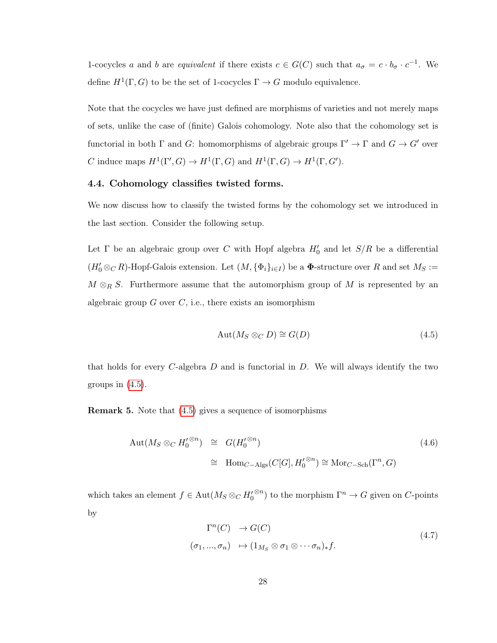1-cocycles a and b are equivalent if there exists  $c \in G(C)$  such that  $a_{\sigma} = c \cdot b_{\sigma} \cdot c^{-1}$ . We define  $H^1(\Gamma, G)$  to be the set of 1-cocycles  $\Gamma \to G$  modulo equivalence.

Note that the cocycles we have just defined are morphisms of varieties and not merely maps of sets, unlike the case of (finite) Galois cohomology. Note also that the cohomology set is functorial in both  $\Gamma$  and  $G$ : homomorphisms of algebraic groups  $\Gamma' \to \Gamma$  and  $G \to G'$  over C induce maps  $H^1(\Gamma', G) \to H^1(\Gamma, G)$  and  $H^1(\Gamma, G) \to H^1(\Gamma, G')$ .

# <span id="page-31-0"></span>4.4. Cohomology classifies twisted forms.

We now discuss how to classify the twisted forms by the cohomology set we introduced in the last section. Consider the following setup.

Let  $\Gamma$  be an algebraic group over C with Hopf algebra  $H'_0$  and let  $S/R$  be a differential  $(H_0' \otimes_C R)$ -Hopf-Galois extension. Let  $(M, {\{\Phi_i\}_{i\in I}})$  be a  $\Phi$ -structure over R and set  $M_S :=$  $M \otimes_R S$ . Furthermore assume that the automorphism group of M is represented by an algebraic group  $G$  over  $C$ , i.e., there exists an isomorphism

<span id="page-31-1"></span>
$$
Aut(M_S \otimes_C D) \cong G(D) \tag{4.5}
$$

that holds for every  $C$ -algebra  $D$  and is functorial in  $D$ . We will always identify the two groups in  $(4.5)$ .

<span id="page-31-2"></span>Remark 5. Note that [\(4.5\)](#page-31-1) gives a sequence of isomorphisms

$$
\begin{array}{rcl}\n\text{Aut}(M_S \otimes_C H_0^{(\otimes n}) & \cong & G(H_0^{(\otimes n)}) \\
& \cong & \text{Hom}_{C-\text{Algs}}(C[G], H_0^{(\otimes n}) \cong \text{Mor}_{C-\text{Sch}}(\Gamma^n, G)\n\end{array} \tag{4.6}
$$

which takes an element  $f \in \text{Aut}(M_S \otimes_C H_0'$ <sup>⊗n</sup>) to the morphism  $\Gamma^n \to G$  given on C-points by

$$
\Gamma^n(C) \to G(C)
$$
  
\n
$$
(\sigma_1, ..., \sigma_n) \to (1_{M_S} \otimes \sigma_1 \otimes \cdots \sigma_n)_* f.
$$
\n(4.7)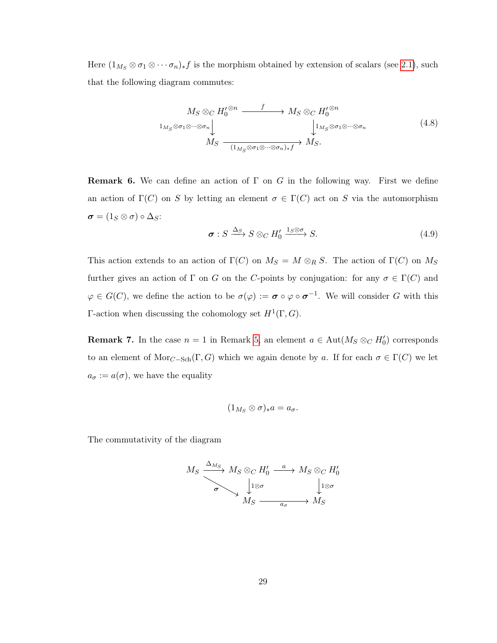Here  $(1_{M_S} \otimes \sigma_1 \otimes \cdots \sigma_n)_* f$  is the morphism obtained by extension of scalars (see [2.1\)](#page-8-1), such that the following diagram commutes:

$$
M_S \otimes_C H_0^{\otimes n} \xrightarrow{f} M_S \otimes_C H_0^{\otimes n}
$$
  
\n
$$
\downarrow_{M_S \otimes \sigma_1 \otimes \cdots \otimes \sigma_n} \downarrow_{M_S \otimes \sigma_1 \otimes \cdots \otimes \sigma_n} \downarrow_{M_S \otimes \sigma_1 \otimes \cdots \otimes \sigma_n} (4.8)
$$
  
\n
$$
M_S \xrightarrow{\qquad \qquad \downarrow_{M_S \otimes \sigma_1 \otimes \cdots \otimes \sigma_n \downarrow_{*} \uparrow} M_S.
$$

**Remark 6.** We can define an action of  $\Gamma$  on G in the following way. First we define an action of  $\Gamma(C)$  on S by letting an element  $\sigma \in \Gamma(C)$  act on S via the automorphism  $\sigma = (1_S \otimes \sigma) \circ \Delta_S$ :

$$
\sigma: S \xrightarrow{\Delta_S} S \otimes_C H'_0 \xrightarrow{1_S \otimes \sigma} S. \tag{4.9}
$$

This action extends to an action of  $\Gamma(C)$  on  $M_S = M \otimes_R S$ . The action of  $\Gamma(C)$  on  $M_S$ further gives an action of  $\Gamma$  on G on the C-points by conjugation: for any  $\sigma \in \Gamma(C)$  and  $\varphi \in G(C)$ , we define the action to be  $\sigma(\varphi) := \sigma \circ \varphi \circ \sigma^{-1}$ . We will consider G with this  $\Gamma$ -action when discussing the cohomology set  $H^1(\Gamma, G)$ .

**Remark 7.** In the case  $n = 1$  in Remark [5,](#page-31-2) an element  $a \in Aut(M_S \otimes_C H_0')$  corresponds to an element of  $\text{Mor}_{C-\text{Sch}}(\Gamma, G)$  which we again denote by a. If for each  $\sigma \in \Gamma(C)$  we let  $a_{\sigma} := a(\sigma)$ , we have the equality

$$
(1_{M_S}\otimes\sigma)_*a=a_\sigma.
$$

The commutativity of the diagram

$$
M_S \xrightarrow{\Delta_{M_S}} M_S \otimes_C H'_0 \xrightarrow{a} M_S \otimes_C H'_0
$$
  
\n
$$
\downarrow^{1 \otimes \sigma} \qquad \qquad \downarrow^{1 \otimes \sigma}
$$
  
\n
$$
M_S \xrightarrow{a_{\sigma}} M_S
$$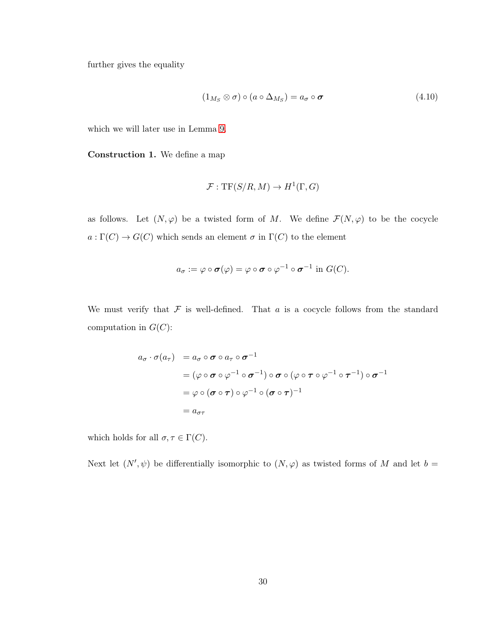further gives the equality

<span id="page-33-0"></span>
$$
(1_{M_S} \otimes \sigma) \circ (a \circ \Delta_{M_S}) = a_{\sigma} \circ \sigma \tag{4.10}
$$

which we will later use in Lemma [9.](#page-35-0)

<span id="page-33-1"></span>Construction 1. We define a map

$$
\mathcal{F}: \mathrm{TF}(S/R, M) \to H^1(\Gamma, G)
$$

as follows. Let  $(N, \varphi)$  be a twisted form of M. We define  $\mathcal{F}(N, \varphi)$  to be the cocycle  $a:\Gamma(C)\rightarrow G(C)$  which sends an element  $\sigma$  in  $\Gamma(C)$  to the element

$$
a_{\sigma} := \varphi \circ \boldsymbol{\sigma}(\varphi) = \varphi \circ \boldsymbol{\sigma} \circ \varphi^{-1} \circ \boldsymbol{\sigma}^{-1} \text{ in } G(C).
$$

We must verify that  $\mathcal F$  is well-defined. That  $a$  is a cocycle follows from the standard computation in  $G(C)$ :

$$
a_{\sigma} \cdot \sigma(a_{\tau}) = a_{\sigma} \circ \sigma \circ a_{\tau} \circ \sigma^{-1}
$$
  
=  $(\varphi \circ \sigma \circ \varphi^{-1} \circ \sigma^{-1}) \circ \sigma \circ (\varphi \circ \tau \circ \varphi^{-1} \circ \tau^{-1}) \circ \sigma^{-1}$   
=  $\varphi \circ (\sigma \circ \tau) \circ \varphi^{-1} \circ (\sigma \circ \tau)^{-1}$   
=  $a_{\sigma\tau}$ 

which holds for all  $\sigma,\tau\in \Gamma(C).$ 

Next let  $(N', \psi)$  be differentially isomorphic to  $(N, \varphi)$  as twisted forms of M and let  $b =$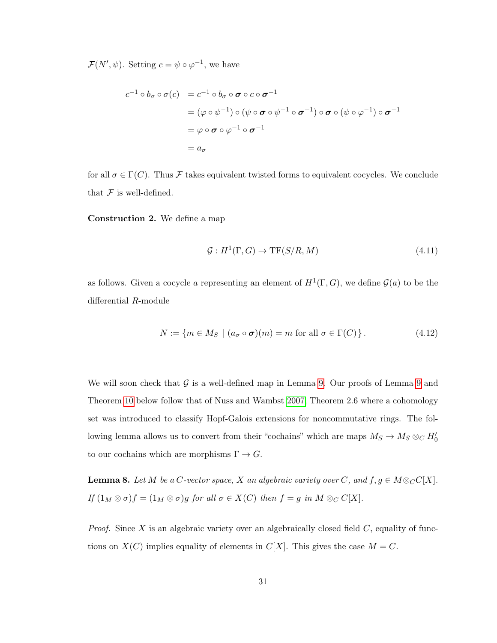$\mathcal{F}(N', \psi)$ . Setting  $c = \psi \circ \varphi^{-1}$ , we have

$$
c^{-1} \circ b_{\sigma} \circ \sigma(c) = c^{-1} \circ b_{\sigma} \circ \sigma \circ c \circ \sigma^{-1}
$$
  
=  $(\varphi \circ \psi^{-1}) \circ (\psi \circ \sigma \circ \psi^{-1} \circ \sigma^{-1}) \circ \sigma \circ (\psi \circ \varphi^{-1}) \circ \sigma^{-1}$   
=  $\varphi \circ \sigma \circ \varphi^{-1} \circ \sigma^{-1}$   
=  $a_{\sigma}$ 

for all  $\sigma \in \Gamma(C)$ . Thus F takes equivalent twisted forms to equivalent cocycles. We conclude that  $\mathcal F$  is well-defined.

<span id="page-34-0"></span>Construction 2. We define a map

$$
\mathcal{G}: H^1(\Gamma, G) \to \mathrm{TF}(S/R, M) \tag{4.11}
$$

as follows. Given a cocycle a representing an element of  $H^1(\Gamma,G)$ , we define  $\mathcal{G}(a)$  to be the differential R-module

$$
N := \{ m \in M_S \mid (a_{\sigma} \circ \sigma)(m) = m \text{ for all } \sigma \in \Gamma(C) \}.
$$
 (4.12)

We will soon check that  $\mathcal G$  is a well-defined map in Lemma [9.](#page-35-0) Our proofs of Lemma [9](#page-35-0) and Theorem [10](#page-37-0) below follow that of Nuss and Wambst [2007,](#page-56-4) Theorem 2.6 where a cohomology set was introduced to classify Hopf-Galois extensions for noncommutative rings. The following lemma allows us to convert from their "cochains" which are maps  $M_S \to M_S \otimes_C H_0'$ to our cochains which are morphisms  $\Gamma \to G$ .

<span id="page-34-1"></span>**Lemma 8.** Let M be a C-vector space, X an algebraic variety over C, and  $f, g \in M \otimes_C C[X]$ . If  $(1_M \otimes \sigma) f = (1_M \otimes \sigma)g$  for all  $\sigma \in X(C)$  then  $f = g$  in  $M \otimes_C C[X]$ .

*Proof.* Since X is an algebraic variety over an algebraically closed field  $C$ , equality of functions on  $X(C)$  implies equality of elements in  $C[X]$ . This gives the case  $M = C$ .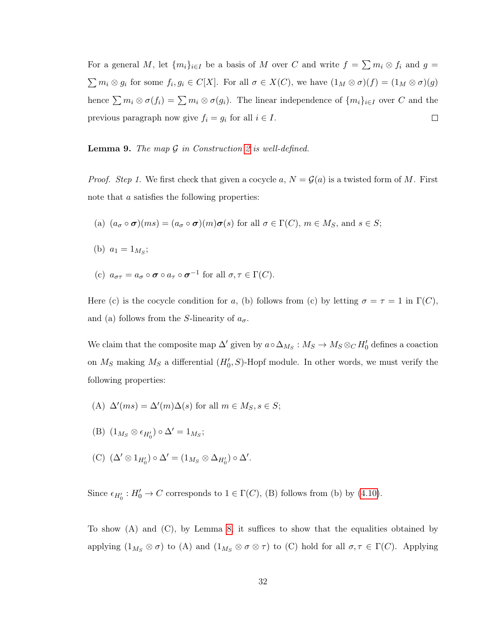For a general M, let  $\{m_i\}_{i\in I}$  be a basis of M over C and write  $f = \sum m_i \otimes f_i$  and  $g =$  $\sum m_i \otimes g_i$  for some  $f_i, g_i \in C[X]$ . For all  $\sigma \in X(C)$ , we have  $(1_M \otimes \sigma)(f) = (1_M \otimes \sigma)(g)$ hence  $\sum m_i \otimes \sigma(f_i) = \sum m_i \otimes \sigma(g_i)$ . The linear independence of  $\{m_i\}_{i\in I}$  over C and the previous paragraph now give  $f_i = g_i$  for all  $i \in I$ .  $\Box$ 

<span id="page-35-0"></span>**Lemma 9.** The map  $\mathcal G$  in Construction [2](#page-34-0) is well-defined.

*Proof.* Step 1. We first check that given a cocycle a,  $N = \mathcal{G}(a)$  is a twisted form of M. First note that a satisfies the following properties:

(a) 
$$
(a_{\sigma} \circ \sigma)(ms) = (a_{\sigma} \circ \sigma)(m)\sigma(s)
$$
 for all  $\sigma \in \Gamma(C)$ ,  $m \in M_S$ , and  $s \in S$ ;

- (b)  $a_1 = 1_{M_S};$
- (c)  $a_{\sigma\tau} = a_{\sigma} \circ \sigma \circ a_{\tau} \circ \sigma^{-1}$  for all  $\sigma, \tau \in \Gamma(C)$ .

Here (c) is the cocycle condition for a, (b) follows from (c) by letting  $\sigma = \tau = 1$  in  $\Gamma(C)$ , and (a) follows from the S-linearity of  $a_{\sigma}$ .

We claim that the composite map  $\Delta'$  given by  $a \circ \Delta_{M_S} : M_S \to M_S \otimes_C H'_0$  defines a coaction on  $M_S$  making  $M_S$  a differential  $(H'_0, S)$ -Hopf module. In other words, we must verify the following properties:

- (A)  $\Delta'(ms) = \Delta'(m)\Delta(s)$  for all  $m \in M_S, s \in S;$
- (B)  $(1_{M_S} \otimes \epsilon_{H'_0}) \circ \Delta' = 1_{M_S};$
- (C)  $(\Delta' \otimes 1_{H'_0}) \circ \Delta' = (1_{M_S} \otimes \Delta_{H'_0}) \circ \Delta'.$

Since  $\epsilon_{H_0'} : H_0' \to C$  corresponds to  $1 \in \Gamma(C)$ , (B) follows from (b) by [\(4.10\)](#page-33-0).

To show (A) and (C), by Lemma [8,](#page-34-1) it suffices to show that the equalities obtained by applying  $(1_{M_S} \otimes \sigma)$  to  $(A)$  and  $(1_{M_S} \otimes \sigma \otimes \tau)$  to  $(C)$  hold for all  $\sigma, \tau \in \Gamma(C)$ . Applying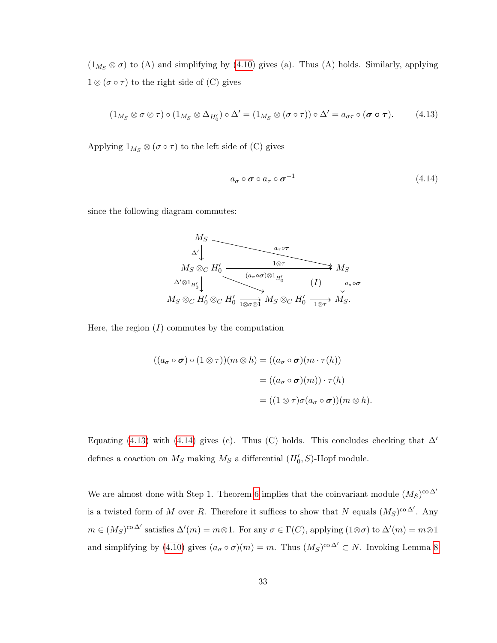$(1_{M_S} \otimes \sigma)$  to (A) and simplifying by [\(4.10\)](#page-33-0) gives (a). Thus (A) holds. Similarly, applying  $1 \otimes (\sigma \circ \tau)$  to the right side of (C) gives

<span id="page-36-0"></span>
$$
(1_{M_S} \otimes \sigma \otimes \tau) \circ (1_{M_S} \otimes \Delta_{H_0'}) \circ \Delta' = (1_{M_S} \otimes (\sigma \circ \tau)) \circ \Delta' = a_{\sigma \tau} \circ (\sigma \circ \tau).
$$
 (4.13)

Applying  $1_{M_S} \otimes (\sigma \circ \tau)$  to the left side of (C) gives

<span id="page-36-1"></span>
$$
a_{\sigma} \circ \sigma \circ a_{\tau} \circ \sigma^{-1} \tag{4.14}
$$

since the following diagram commutes:



Here, the region  $(I)$  commutes by the computation

$$
((a_{\sigma} \circ \sigma) \circ (1 \otimes \tau))(m \otimes h) = ((a_{\sigma} \circ \sigma)(m \cdot \tau(h))
$$

$$
= ((a_{\sigma} \circ \sigma)(m)) \cdot \tau(h)
$$

$$
= ((1 \otimes \tau)\sigma(a_{\sigma} \circ \sigma))(m \otimes h).
$$

Equating [\(4.13\)](#page-36-0) with [\(4.14\)](#page-36-1) gives (c). Thus (C) holds. This concludes checking that  $\Delta'$ defines a coaction on  $M_S$  making  $M_S$  a differential  $(H'_0, S)$ -Hopf module.

We are almost done with Step 1. Theorem [6](#page-27-0) implies that the coinvariant module  $(M_S)^{\text{co }\Delta'}$ is a twisted form of M over R. Therefore it suffices to show that N equals  $(M_S)^{\text{co }\Delta'}$ . Any  $m \in (M_S)^{\text{co }\Delta'}$  satisfies  $\Delta'(m) = m \otimes 1$ . For any  $\sigma \in \Gamma(C)$ , applying  $(1 \otimes \sigma)$  to  $\Delta'(m) = m \otimes 1$ and simplifying by [\(4.10\)](#page-33-0) gives  $(a_{\sigma} \circ \sigma)(m) = m$ . Thus  $(M_S)^{co \Delta'} \subset N$ . Invoking Lemma [8](#page-34-1)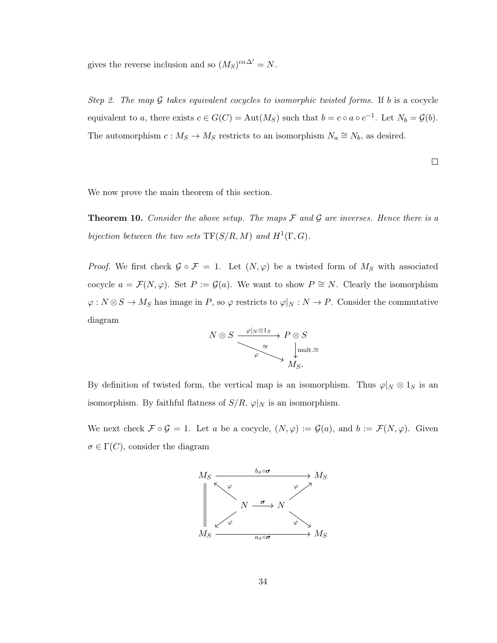gives the reverse inclusion and so  $(M_S)^{\text{co }\Delta'} = N$ .

Step 2. The map  $\mathcal G$  takes equivalent cocycles to isomorphic twisted forms. If b is a cocycle equivalent to a, there exists  $c \in G(C) = \text{Aut}(M_S)$  such that  $b = c \circ a \circ c^{-1}$ . Let  $N_b = \mathcal{G}(b)$ . The automorphism  $c: M_S \to M_S$  restricts to an isomorphism  $N_a \cong N_b$ , as desired.

$$
\Box
$$

We now prove the main theorem of this section.

<span id="page-37-0"></span>**Theorem 10.** Consider the above setup. The maps  $\mathcal F$  and  $\mathcal G$  are inverses. Hence there is a bijection between the two sets  $TF(S/R, M)$  and  $H^1(\Gamma, G)$ .

*Proof.* We first check  $\mathcal{G} \circ \mathcal{F} = 1$ . Let  $(N, \varphi)$  be a twisted form of  $M_S$  with associated cocycle  $a = \mathcal{F}(N, \varphi)$ . Set  $P := \mathcal{G}(a)$ . We want to show  $P \cong N$ . Clearly the isomorphism  $\varphi: N \otimes S \to M_S$  has image in P, so  $\varphi$  restricts to  $\varphi|_N: N \to P$ . Consider the commutative diagram

$$
N \otimes S \xrightarrow{\varphi|_N \otimes 1_S} P \otimes S
$$
  

$$
\xrightarrow{\cong} \downarrow^{\text{mult.}} \cong
$$
  

$$
M_S.
$$

By definition of twisted form, the vertical map is an isomorphism. Thus  $\varphi|_N \otimes 1_S$  is an isomorphism. By faithful flatness of  $S/R$ ,  $\varphi|_N$  is an isomorphism.

We next check  $\mathcal{F} \circ \mathcal{G} = 1$ . Let a be a cocycle,  $(N, \varphi) := \mathcal{G}(a)$ , and  $b := \mathcal{F}(N, \varphi)$ . Given  $\sigma \in \Gamma(C)$ , consider the diagram

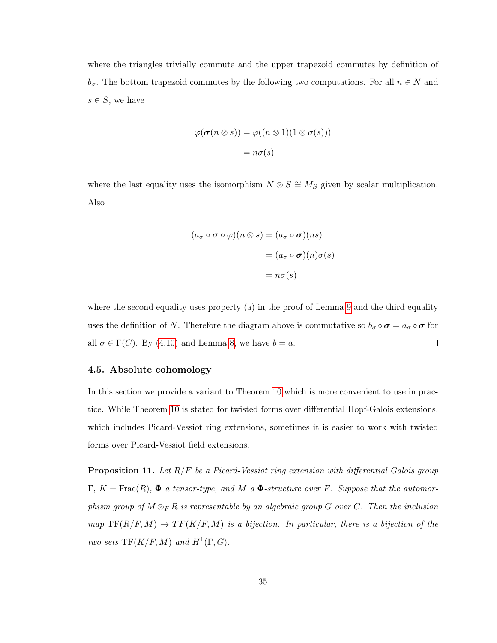where the triangles trivially commute and the upper trapezoid commutes by definition of  $b_{\sigma}$ . The bottom trapezoid commutes by the following two computations. For all  $n \in N$  and  $s \in S$ , we have

$$
\varphi(\boldsymbol{\sigma}(n \otimes s)) = \varphi((n \otimes 1)(1 \otimes \sigma(s)))
$$

$$
= n\sigma(s)
$$

where the last equality uses the isomorphism  $N \otimes S \cong M_S$  given by scalar multiplication. Also

$$
(a_{\sigma} \circ \sigma \circ \varphi)(n \otimes s) = (a_{\sigma} \circ \sigma)(ns)
$$

$$
= (a_{\sigma} \circ \sigma)(n)\sigma(s)
$$

$$
= n\sigma(s)
$$

where the second equality uses property (a) in the proof of Lemma [9](#page-35-0) and the third equality uses the definition of N. Therefore the diagram above is commutative so  $b_{\sigma} \circ \sigma = a_{\sigma} \circ \sigma$  for all  $\sigma \in \Gamma(C)$ . By [\(4.10\)](#page-33-0) and Lemma [8,](#page-34-1) we have  $b = a$ .  $\Box$ 

#### <span id="page-38-0"></span>4.5. Absolute cohomology

In this section we provide a variant to Theorem [10](#page-37-0) which is more convenient to use in practice. While Theorem [10](#page-37-0) is stated for twisted forms over differential Hopf-Galois extensions, which includes Picard-Vessiot ring extensions, sometimes it is easier to work with twisted forms over Picard-Vessiot field extensions.

<span id="page-38-1"></span>**Proposition 11.** Let  $R/F$  be a Picard-Vessiot ring extension with differential Galois group  $\Gamma, K = \text{Frac}(R), \Phi$  a tensor-type, and M a  $\Phi$ -structure over F. Suppose that the automorphism group of  $M \otimes_F R$  is representable by an algebraic group G over C. Then the inclusion  $map \, \, \text{TF}(R/F, M) \rightarrow TF(K/F, M)$  is a bijection. In particular, there is a bijection of the two sets  $TF(K/F, M)$  and  $H^1(\Gamma, G)$ .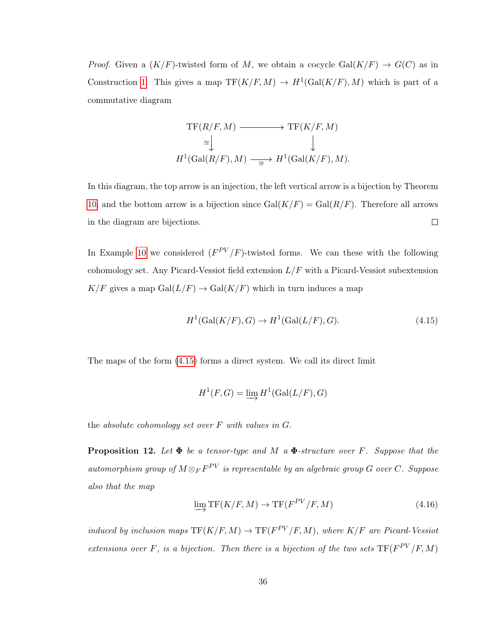*Proof.* Given a  $(K/F)$ -twisted form of M, we obtain a cocycle  $Gal(K/F) \rightarrow G(C)$  as in Construction [1.](#page-33-1) This gives a map  $TF(K/F, M) \to H^1(\text{Gal}(K/F), M)$  which is part of a commutative diagram

$$
\mathrm{TF}(R/F, M) \longrightarrow \mathrm{TF}(K/F, M)
$$
  
\n
$$
\cong \bigcup_{H^1(\mathrm{Gal}(R/F), M) \longrightarrow H^1(\mathrm{Gal}(K/F), M)} \mathcal{H}^1(\mathrm{Gal}(K/F), M).
$$

In this diagram, the top arrow is an injection, the left vertical arrow is a bijection by Theorem [10,](#page-37-0) and the bottom arrow is a bijection since  $Gal(K/F) = Gal(R/F)$ . Therefore all arrows  $\Box$ in the diagram are bijections.

In Example [10](#page-29-2) we considered  $(F^{PV}/F)$ -twisted forms. We can these with the following cohomology set. Any Picard-Vessiot field extension  $L/F$  with a Picard-Vessiot subextension  $K/F$  gives a map  $Gal(L/F) \rightarrow Gal(K/F)$  which in turn induces a map

<span id="page-39-0"></span>
$$
H1(Gal(K/F), G) \to H1(Gal(L/F), G).
$$
\n(4.15)

The maps of the form [\(4.15\)](#page-39-0) forms a direct system. We call its direct limit

$$
H^1(F, G) = \varinjlim H^1(\operatorname{Gal}(L/F), G)
$$

the absolute cohomology set over  $F$  with values in  $G$ .

<span id="page-39-1"></span>**Proposition 12.** Let  $\Phi$  be a tensor-type and M a  $\Phi$ -structure over F. Suppose that the automorphism group of  $M\otimes_F F^{PV}$  is representable by an algebraic group G over C. Suppose also that the map

<span id="page-39-2"></span>
$$
\lim_{\longrightarrow} \text{TF}(K/F, M) \to \text{TF}(F^{PV}/F, M) \tag{4.16}
$$

induced by inclusion maps  $TF(K/F, M) \to TF(F^{PV}/F, M)$ , where  $K/F$  are Picard-Vessiot extensions over F, is a bijection. Then there is a bijection of the two sets  $TF(F^{PV}/F, M)$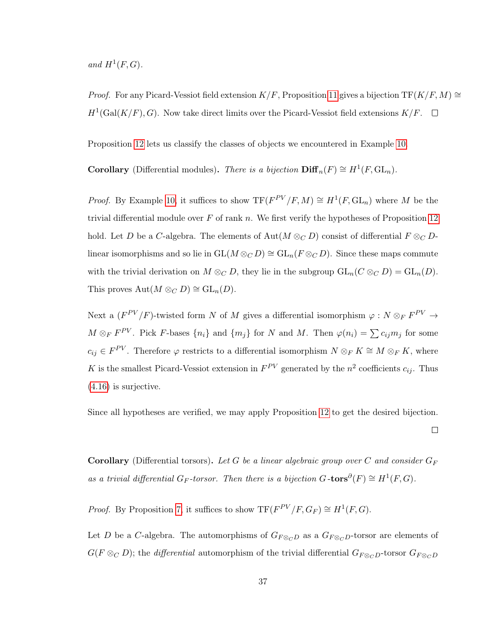and  $H^1(F, G)$ .

*Proof.* For any Picard-Vessiot field extension  $K/F$ , Proposition [11](#page-38-1) gives a bijection TF( $K/F$ , M) ≅  $H^1(\text{Gal}(K/F), G)$ . Now take direct limits over the Picard-Vessiot field extensions  $K/F$ .

Proposition [12](#page-39-1) lets us classify the classes of objects we encountered in Example [10.](#page-29-2)

**Corollary** (Differential modules). There is a bijection  $\text{Diff}_n(F) \cong H^1(F, GL_n)$ .

*Proof.* By Example [10,](#page-29-2) it suffices to show  $TF(F^{PV}/F, M) \cong H^1(F, GL_n)$  where M be the trivial differential module over  $F$  of rank  $n$ . We first verify the hypotheses of Proposition [12](#page-39-1) hold. Let D be a C-algebra. The elements of  $\text{Aut}(M \otimes_C D)$  consist of differential  $F \otimes_C D$ linear isomorphisms and so lie in  $GL(M \otimes_C D) \cong GL_n(F \otimes_C D)$ . Since these maps commute with the trivial derivation on  $M \otimes_C D$ , they lie in the subgroup  $GL_n(C \otimes_C D) = GL_n(D)$ . This proves  $\text{Aut}(M \otimes_C D) \cong \text{GL}_n(D)$ .

Next a  $(F^{PV}/F)$ -twisted form N of M gives a differential isomorphism  $\varphi : N \otimes_F F^{PV} \to$  $M \otimes_F F^{PV}$ . Pick F-bases  $\{n_i\}$  and  $\{m_j\}$  for N and M. Then  $\varphi(n_i) = \sum c_{ij} m_j$  for some  $c_{ij} \in F^{PV}$ . Therefore  $\varphi$  restricts to a differential isomorphism  $N \otimes_F K \cong M \otimes_F K$ , where K is the smallest Picard-Vessiot extension in  $F^{PV}$  generated by the  $n^2$  coefficients  $c_{ij}$ . Thus [\(4.16\)](#page-39-2) is surjective.

Since all hypotheses are verified, we may apply Proposition [12](#page-39-1) to get the desired bijection.

 $\Box$ 

**Corollary** (Differential torsors). Let G be a linear algebraic group over C and consider  $G_F$ as a trivial differential  $G_F$ -torsor. Then there is a bijection  $G$ -tors $\partial(F) \cong H^1(F, G)$ .

*Proof.* By Proposition [7,](#page-30-1) it suffices to show  $TF(F^{PV}/F, G_F) \cong H^1(F, G)$ .

Let D be a C-algebra. The automorphisms of  $G_{F \otimes_C D}$  as a  $G_{F \otimes_C D}$ -torsor are elements of  $G(F \otimes_C D)$ ; the *differential* automorphism of the trivial differential  $G_{F \otimes_C D}$ -torsor  $G_{F \otimes_C D}$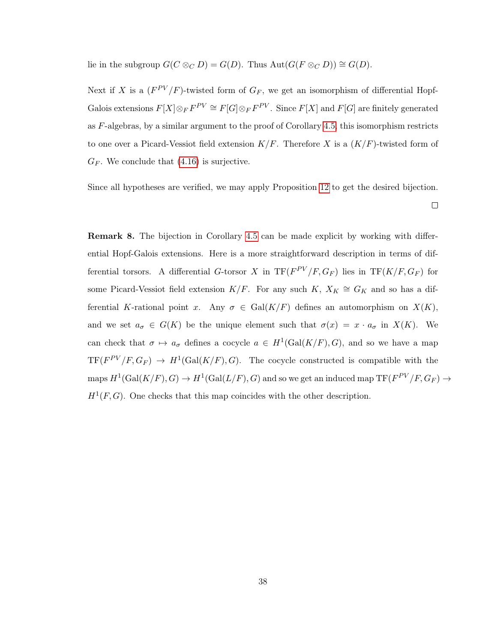lie in the subgroup  $G(C \otimes_C D) = G(D)$ . Thus  $Aut(G(F \otimes_C D)) \cong G(D)$ .

Next if X is a  $(F^{PV}/F)$ -twisted form of  $G_F$ , we get an isomorphism of differential Hopf-Galois extensions  $F[X] \otimes_F F^{PV} \cong F[G] \otimes_F F^{PV}$ . Since  $F[X]$  and  $F[G]$  are finitely generated as  $F$ -algebras, by a similar argument to the proof of Corollary [4.5,](#page-39-2) this isomorphism restricts to one over a Picard-Vessiot field extension  $K/F$ . Therefore X is a  $(K/F)$ -twisted form of  $G_F$ . We conclude that  $(4.16)$  is surjective.

Since all hypotheses are verified, we may apply Proposition [12](#page-39-1) to get the desired bijection.

 $\Box$ 

<span id="page-41-0"></span>Remark 8. The bijection in Corollary [4.5](#page-39-2) can be made explicit by working with differential Hopf-Galois extensions. Here is a more straightforward description in terms of differential torsors. A differential G-torsor X in  $TF(F^{PV}/F, G_F)$  lies in  $TF(K/F, G_F)$  for some Picard-Vessiot field extension  $K/F$ . For any such  $K, X_K \cong G_K$  and so has a differential K-rational point x. Any  $\sigma \in \text{Gal}(K/F)$  defines an automorphism on  $X(K)$ , and we set  $a_{\sigma} \in G(K)$  be the unique element such that  $\sigma(x) = x \cdot a_{\sigma}$  in  $X(K)$ . We can check that  $\sigma \mapsto a_{\sigma}$  defines a cocycle  $a \in H^1(\text{Gal}(K/F), G)$ , and so we have a map  $TF(F^{PV}/F, G_F) \rightarrow H^1(\text{Gal}(K/F), G)$ . The cocycle constructed is compatible with the maps  $H^1(\mathrm{Gal}(K/F), G) \to H^1(\mathrm{Gal}(L/F), G)$  and so we get an induced map  $\mathrm{TF}(F^{PV}/F, G_F) \to$  $H^1(F, G)$ . One checks that this map coincides with the other description.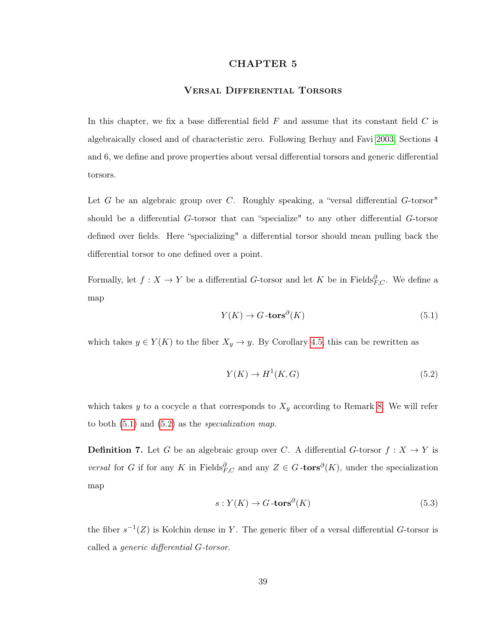### CHAPTER 5

## Versal Differential Torsors

<span id="page-42-0"></span>In this chapter, we fix a base differential field  $F$  and assume that its constant field  $C$  is algebraically closed and of characteristic zero. Following Berhuy and Favi [2003,](#page-55-3) Sections 4 and 6, we define and prove properties about versal differential torsors and generic differential torsors.

Let G be an algebraic group over C. Roughly speaking, a "versal differential  $G$ -torsor" should be a differential G-torsor that can "specialize" to any other differential G-torsor defined over fields. Here "specializing" a differential torsor should mean pulling back the differential torsor to one defined over a point.

Formally, let  $f: X \to Y$  be a differential G-torsor and let K be in Fields ${}^{\partial}_{F,C}$ . We define a map

<span id="page-42-1"></span>
$$
Y(K) \to G \text{-tors}^{\partial}(K) \tag{5.1}
$$

which takes  $y \in Y(K)$  to the fiber  $X_y \to y$ . By Corollary [4.5,](#page-39-2) this can be rewritten as

<span id="page-42-2"></span>
$$
Y(K) \to H^1(K, G) \tag{5.2}
$$

which takes y to a cocycle a that corresponds to  $X_y$  according to Remark [8.](#page-41-0) We will refer to both  $(5.1)$  and  $(5.2)$  as the *specialization map*.

**Definition 7.** Let G be an algebraic group over C. A differential G-torsor  $f : X \to Y$  is versal for G if for any K in Fields ${}^{\partial}_{F,C}$  and any  $Z \in G$ -tors<sup> $\partial(K)$ </sup>, under the specialization map

$$
s: Y(K) \to G\text{-tors}^{\partial}(K)
$$
\n
$$
(5.3)
$$

the fiber  $s^{-1}(Z)$  is Kolchin dense in Y. The generic fiber of a versal differential G-torsor is called a generic differential G-torsor.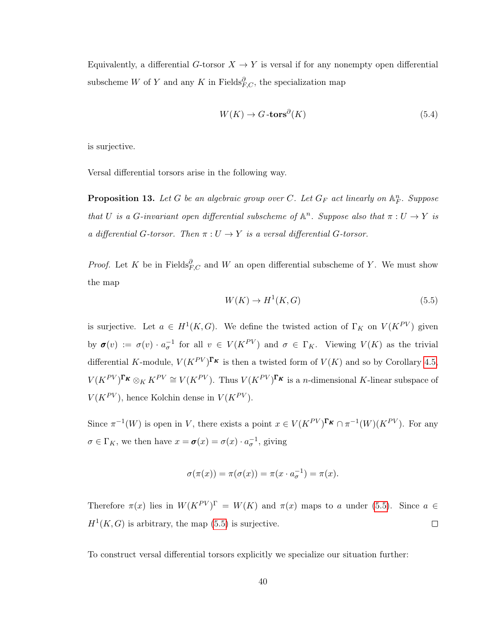Equivalently, a differential G-torsor  $X \to Y$  is versal if for any nonempty open differential subscheme W of Y and any K in Fields $_{F,C}^{\partial}$ , the specialization map

$$
W(K) \to G \text{-tors}^{\partial}(K) \tag{5.4}
$$

is surjective.

Versal differential torsors arise in the following way.

<span id="page-43-1"></span>**Proposition 13.** Let G be an algebraic group over C. Let  $G_F$  act linearly on  $\mathbb{A}_F^n$ . Suppose that U is a G-invariant open differential subscheme of  $\mathbb{A}^n$ . Suppose also that  $\pi: U \to Y$  is a differential G-torsor. Then  $\pi: U \to Y$  is a versal differential G-torsor.

*Proof.* Let K be in Fields ${}^{\partial}_{F,C}$  and W an open differential subscheme of Y. We must show the map

<span id="page-43-0"></span>
$$
W(K) \to H^1(K, G) \tag{5.5}
$$

is surjective. Let  $a \in H^1(K, G)$ . We define the twisted action of  $\Gamma_K$  on  $V(K^{PV})$  given by  $\sigma(v) := \sigma(v) \cdot a_{\sigma}^{-1}$  for all  $v \in V(K^{PV})$  and  $\sigma \in \Gamma_K$ . Viewing  $V(K)$  as the trivial differential K-module,  $V(K^{PV})^{\Gamma_K}$  is then a twisted form of  $V(K)$  and so by Corollary [4.5,](#page-39-2)  $V(K^{PV})^{\Gamma_K} \otimes_K K^{PV} \cong V(K^{PV})$ . Thus  $V(K^{PV})^{\Gamma_K}$  is a *n*-dimensional K-linear subspace of  $V(K^{PV})$ , hence Kolchin dense in  $V(K^{PV})$ .

Since  $\pi^{-1}(W)$  is open in V, there exists a point  $x \in V(K^{PV})^{\Gamma_K} \cap \pi^{-1}(W)(K^{PV})$ . For any  $\sigma \in \Gamma_K$ , we then have  $x = \sigma(x) = \sigma(x) \cdot a_{\sigma}^{-1}$ , giving

$$
\sigma(\pi(x)) = \pi(\sigma(x)) = \pi(x \cdot a_{\sigma}^{-1}) = \pi(x).
$$

Therefore  $\pi(x)$  lies in  $W(K^{PV})^{\Gamma} = W(K)$  and  $\pi(x)$  maps to a under [\(5.5\)](#page-43-0). Since  $a \in$  $H<sup>1</sup>(K, G)$  is arbitrary, the map [\(5.5\)](#page-43-0) is surjective.  $\Box$ 

To construct versal differential torsors explicitly we specialize our situation further: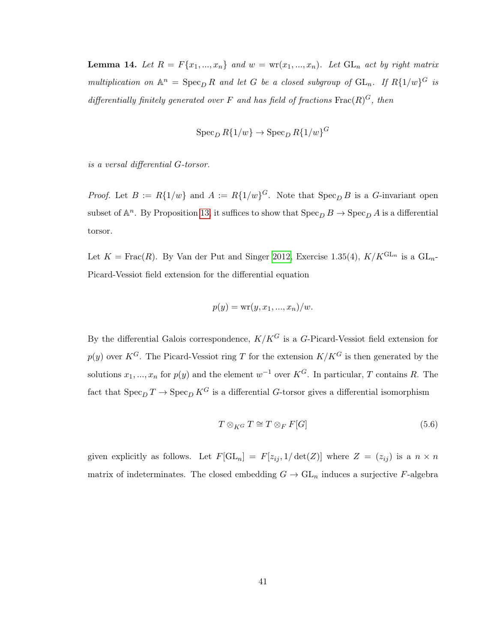<span id="page-44-1"></span>**Lemma 14.** Let  $R = F\{x_1, ..., x_n\}$  and  $w = \text{wr}(x_1, ..., x_n)$ . Let  $GL_n$  act by right matrix multiplication on  $\mathbb{A}^n = \operatorname{Spec}_D R$  and let G be a closed subgroup of  $\operatorname{GL}_n$ . If  $R\{1/w\}^G$  is differentially finitely generated over F and has field of fractions  $\text{Frac}(R)^G$ , then

$$
\operatorname{Spec}_{D} R\{1/w\} \to \operatorname{Spec}_{D} R\{1/w\}^G
$$

is a versal differential G-torsor.

*Proof.* Let  $B := R\{1/w\}$  and  $A := R\{1/w\}^G$ . Note that  $\text{Spec}_D B$  is a G-invariant open subset of  $\mathbb{A}^n$ . By Proposition [13,](#page-43-1) it suffices to show that  $\operatorname{Spec}_D B \to \operatorname{Spec}_D A$  is a differential torsor.

Let  $K = \text{Frac}(R)$ . By Van der Put and Singer [2012,](#page-56-0) Exercise 1.35(4),  $K/K^{\text{GL}_n}$  is a  $\text{GL}_n$ -Picard-Vessiot field extension for the differential equation

$$
p(y) = \text{wr}(y, x_1, \ldots, x_n)/w.
$$

By the differential Galois correspondence,  $K/K<sup>G</sup>$  is a G-Picard-Vessiot field extension for  $p(y)$  over K<sup>G</sup>. The Picard-Vessiot ring T for the extension  $K/K^G$  is then generated by the solutions  $x_1, ..., x_n$  for  $p(y)$  and the element  $w^{-1}$  over  $K^G$ . In particular, T contains R. The fact that  $\operatorname{Spec}_D T \to \operatorname{Spec}_D K^G$  is a differential G-torsor gives a differential isomorphism

<span id="page-44-0"></span>
$$
T \otimes_{K} G T \cong T \otimes_F F[G] \tag{5.6}
$$

given explicitly as follows. Let  $F[\mathrm{GL}_n] = F[z_{ij}, 1/\det(Z)]$  where  $Z = (z_{ij})$  is a  $n \times n$ matrix of indeterminates. The closed embedding  $G \to GL_n$  induces a surjective F-algebra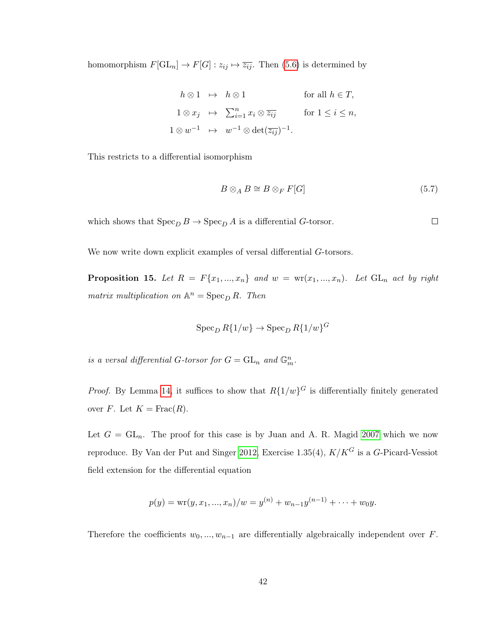homomorphism  $F[\mathrm{GL}_n] \to F[G] : z_{ij} \mapsto \overline{z_{ij}}$ . Then [\(5.6\)](#page-44-0) is determined by

$$
h \otimes 1 \mapsto h \otimes 1 \qquad \text{for all } h \in T,
$$
  
\n
$$
1 \otimes x_j \mapsto \sum_{i=1}^n x_i \otimes \overline{z_{ij}} \qquad \text{for } 1 \le i \le n,
$$
  
\n
$$
1 \otimes w^{-1} \mapsto w^{-1} \otimes \det(\overline{z_{ij}})^{-1}.
$$

This restricts to a differential isomorphism

$$
B \otimes_A B \cong B \otimes_F F[G] \tag{5.7}
$$

 $\Box$ 

which shows that  $\operatorname{Spec}_D B \to \operatorname{Spec}_D A$  is a differential G-torsor.

We now write down explicit examples of versal differential  $G$ -torsors.

<span id="page-45-0"></span>**Proposition 15.** Let  $R = F\{x_1, ..., x_n\}$  and  $w = \text{wr}(x_1, ..., x_n)$ . Let  $GL_n$  act by right matrix multiplication on  $\mathbb{A}^n = \operatorname{Spec}_D R$ . Then

$$
\operatorname{Spec}_{D} R\{1/w\} \to \operatorname{Spec}_{D} R\{1/w\}^G
$$

is a versal differential G-torsor for  $G = GL_n$  and  $\mathbb{G}_m^n$ .

*Proof.* By Lemma [14,](#page-44-1) it suffices to show that  $R\{1/w\}$ <sup>G</sup> is differentially finitely generated over F. Let  $K = \text{Frac}(R)$ .

Let  $G = GL_n$ . The proof for this case is by Juan and A. R. Magid [2007](#page-55-8) which we now reproduce. By Van der Put and Singer [2012,](#page-56-0) Exercise 1.35(4),  $K/K^G$  is a G-Picard-Vessiot field extension for the differential equation

$$
p(y) = \text{wr}(y, x_1, ..., x_n)/w = y^{(n)} + w_{n-1}y^{(n-1)} + \dots + w_0y.
$$

Therefore the coefficients  $w_0, ..., w_{n-1}$  are differentially algebraically independent over F.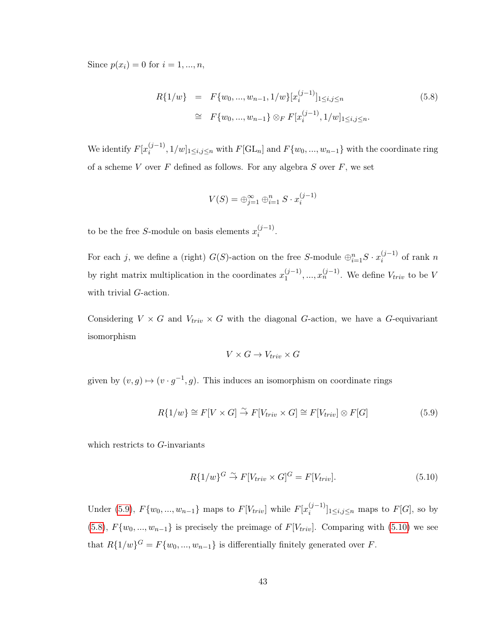Since  $p(x_i) = 0$  for  $i = 1, ..., n$ ,

<span id="page-46-1"></span>
$$
R\{1/w\} = F\{w_0, ..., w_{n-1}, 1/w\}[x_i^{(j-1)}]_{1 \le i,j \le n}
$$
\n
$$
\cong F\{w_0, ..., w_{n-1}\} \otimes_F F[x_i^{(j-1)}, 1/w]_{1 \le i,j \le n}.
$$
\n(5.8)

We identify  $F[x_i^{(j-1)}]$  $[i]_{i}^{(j-1)}, 1/w]_{1 \leq i,j \leq n}$  with  $F[\mathrm{GL}_n]$  and  $F\{w_0, ..., w_{n-1}\}$  with the coordinate ring of a scheme  $V$  over  $F$  defined as follows. For any algebra  $S$  over  $F$ , we set

$$
V(S) = \bigoplus_{j=1}^{\infty} \bigoplus_{i=1}^{n} S \cdot x_i^{(j-1)}
$$

to be the free S-module on basis elements  $x_i^{(j-1)}$  $i^{(j-1)}$ .

For each j, we define a (right)  $G(S)$ -action on the free S-module  $\bigoplus_{i=1}^{n} S \cdot x_i^{(j-1)}$  $i^{(j-1)}$  of rank n by right matrix multiplication in the coordinates  $x_1^{(j-1)}$  $x_1^{(j-1)},...,x_n^{(j-1)}$ . We define  $V_{triv}$  to be V with trivial G-action.

Considering  $V \times G$  and  $V_{triv} \times G$  with the diagonal G-action, we have a G-equivariant isomorphism

$$
V \times G \to V_{triv} \times G
$$

given by  $(v, g) \mapsto (v \cdot g^{-1}, g)$ . This induces an isomorphism on coordinate rings

<span id="page-46-0"></span>
$$
R\{1/w\} \cong F[V \times G] \stackrel{\sim}{\to} F[V_{triv} \times G] \cong F[V_{triv}] \otimes F[G] \tag{5.9}
$$

which restricts to G-invariants

<span id="page-46-2"></span>
$$
R\{1/w\}^G \stackrel{\sim}{\rightarrow} F[V_{triv} \times G]^G = F[V_{triv}].
$$
\n(5.10)

Under [\(5.9\)](#page-46-0),  $F{w_0, ..., w_{n-1}}$  maps to  $F[V_{triv}]$  while  $F[x_i^{(j-1)}]$  $\binom{(J-1)}{i}$ <sub>1 $\leq i,j \leq n$ </sub> maps to  $F[G]$ , so by [\(5.8\)](#page-46-1),  $F{w_0, ..., w_{n-1}}$  is precisely the preimage of  $F[V_{triv}]$ . Comparing with [\(5.10\)](#page-46-2) we see that  $R\{1/w\}^G = F\{w_0, ..., w_{n-1}\}\$ is differentially finitely generated over F.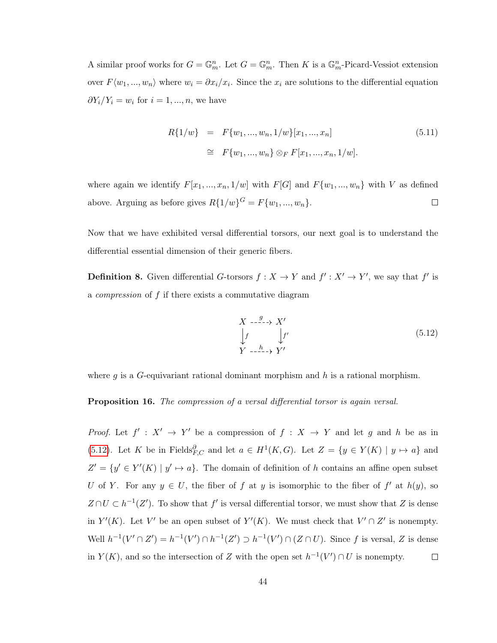A similar proof works for  $G = \mathbb{G}_m^n$ . Let  $G = \mathbb{G}_m^n$ . Then K is a  $\mathbb{G}_m^n$ -Picard-Vessiot extension over  $F\langle w_1, ..., w_n \rangle$  where  $w_i = \partial x_i/x_i$ . Since the  $x_i$  are solutions to the differential equation  $\partial Y_i/Y_i = w_i$  for  $i = 1, ..., n$ , we have

$$
R\{1/w\} = F\{w_1, ..., w_n, 1/w\}[x_1, ..., x_n]
$$
\n
$$
\cong F\{w_1, ..., w_n\} \otimes_F F[x_1, ..., x_n, 1/w].
$$
\n(5.11)

where again we identify  $F[x_1, ..., x_n, 1/w]$  with  $F[G]$  and  $F\{w_1, ..., w_n\}$  with V as defined above. Arguing as before gives  $R\{1/w\}^G = F\{w_1, ..., w_n\}$ .  $\Box$ 

Now that we have exhibited versal differential torsors, our next goal is to understand the differential essential dimension of their generic fibers.

**Definition 8.** Given differential G-torsors  $f: X \to Y$  and  $f': X' \to Y'$ , we say that f' is a compression of f if there exists a commutative diagram

<span id="page-47-0"></span>
$$
\begin{array}{ccc}\nX & \xrightarrow{g} & X' \\
\downarrow f & & \downarrow f' \\
Y & \xrightarrow{h} & Y'\n\end{array} \tag{5.12}
$$

where  $g$  is a G-equivariant rational dominant morphism and  $h$  is a rational morphism.

<span id="page-47-1"></span>Proposition 16. The compression of a versal differential torsor is again versal.

*Proof.* Let  $f' : X' \to Y'$  be a compression of  $f : X \to Y$  and let g and h be as in [\(5.12\)](#page-47-0). Let K be in Fields ${}_{F,C}^{\partial}$  and let  $a \in H^1(K, G)$ . Let  $Z = \{y \in Y(K) \mid y \mapsto a\}$  and  $Z' = \{y' \in Y'(K) \mid y' \mapsto a\}.$  The domain of definition of h contains an affine open subset U of Y. For any  $y \in U$ , the fiber of f at y is isomorphic to the fiber of f' at  $h(y)$ , so  $Z \cap U \subset h^{-1}(Z')$ . To show that f' is versal differential torsor, we must show that Z is dense in  $Y'(K)$ . Let V' be an open subset of  $Y'(K)$ . We must check that  $V' \cap Z'$  is nonempty. Well  $h^{-1}(V' \cap Z') = h^{-1}(V') \cap h^{-1}(Z') \supset h^{-1}(V') \cap (Z \cap U)$ . Since f is versal, Z is dense in  $Y(K)$ , and so the intersection of Z with the open set  $h^{-1}(V') \cap U$  is nonempty.  $\Box$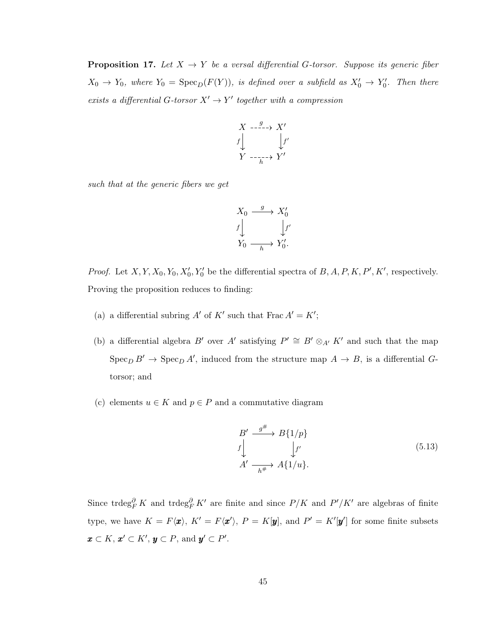<span id="page-48-1"></span>**Proposition 17.** Let  $X \to Y$  be a versal differential G-torsor. Suppose its generic fiber  $X_0 \to Y_0$ , where  $Y_0 = \text{Spec}_D(F(Y))$ , is defined over a subfield as  $X'_0 \to Y'_0$ . Then there exists a differential G-torsor  $X' \to Y'$  together with a compression

$$
\begin{array}{ccc}\nX & \xrightarrow{\quad g\quad} & X' \\
f & & \downarrow f' \\
Y & \xrightarrow{\quad \ \ \, \cdots \quad \ \ \, } & Y'\n\end{array}
$$

such that at the generic fibers we get

$$
\begin{array}{ccc}\nX_0 & \xrightarrow{\quad g\quad & X'_0 \\
f \downarrow & & \downarrow f' \\
Y_0 & \xrightarrow{\quad h\quad & Y'_0.\n\end{array}
$$

*Proof.* Let  $X, Y, X_0, Y_0, X'_0, Y'_0$  be the differential spectra of  $B, A, P, K, P', K'$ , respectively. Proving the proposition reduces to finding:

- (a) a differential subring A' of K' such that Frac  $A' = K'$ ;
- (b) a differential algebra B' over A' satisfying  $P' \cong B' \otimes_{A'} K'$  and such that the map  $\operatorname{Spec}_D B' \to \operatorname{Spec}_D A'$ , induced from the structure map  $A \to B$ , is a differential Gtorsor; and
- (c) elements  $u \in K$  and  $p \in P$  and a commutative diagram

<span id="page-48-0"></span>
$$
B' \xrightarrow{g^{\#}} B\{1/p\} \n\downarrow f' \qquad \qquad \downarrow f' \nA' \xrightarrow[h^{\#} A\{1/u\}.
$$
\n(5.13)

Since trdeg<sup>∂</sup><sub>F</sub> K and trdeg<sup>∂</sup><sub>F</sub> K' are finite and since  $P/K$  and  $P'/K'$  are algebras of finite type, we have  $K = F\langle x \rangle$ ,  $K' = F\langle x' \rangle$ ,  $P = K[y]$ , and  $P' = K'[y']$  for some finite subsets  $\mathbf{x} \subset K$ ,  $\mathbf{x}' \subset K'$ ,  $\mathbf{y} \subset P$ , and  $\mathbf{y}' \subset P'$ .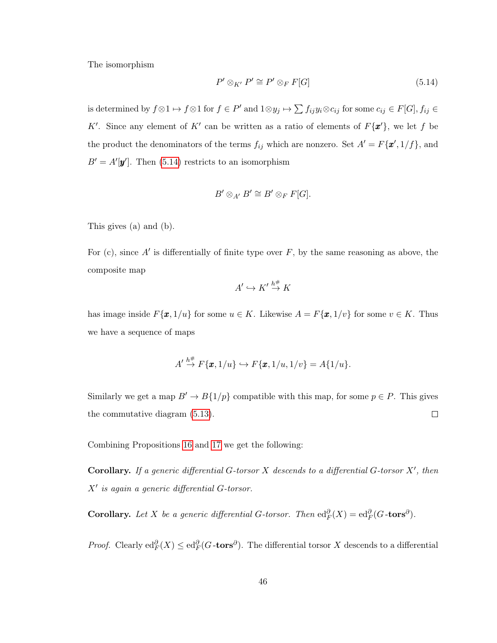The isomorphism

<span id="page-49-0"></span>
$$
P' \otimes_{K'} P' \cong P' \otimes_F F[G] \tag{5.14}
$$

is determined by  $f \otimes 1 \mapsto f \otimes 1$  for  $f \in P'$  and  $1 \otimes y_j \mapsto \sum f_{ij}y_i \otimes c_{ij}$  for some  $c_{ij} \in F[G], f_{ij} \in G$ K'. Since any element of K' can be written as a ratio of elements of  $F\{\mathbf{x}'\}$ , we let f be the product the denominators of the terms  $f_{ij}$  which are nonzero. Set  $A' = F{\mathbf{x}', 1/f}$ , and  $B' = A'[\mathbf{y}']$ . Then [\(5.14\)](#page-49-0) restricts to an isomorphism

$$
B' \otimes_{A'} B' \cong B' \otimes_F F[G].
$$

This gives (a) and (b).

For (c), since  $A'$  is differentially of finite type over  $F$ , by the same reasoning as above, the composite map

$$
A' \hookrightarrow K' \stackrel{h^{\#}}{\rightarrow} K
$$

has image inside  $F\{\mathbf{x}, 1/u\}$  for some  $u \in K$ . Likewise  $A = F\{\mathbf{x}, 1/v\}$  for some  $v \in K$ . Thus we have a sequence of maps

$$
A' \stackrel{h^{\#}}{\rightarrow} F\{\pmb{x},1/u\} \hookrightarrow F\{\pmb{x},1/u,1/v\} = A\{1/u\}.
$$

Similarly we get a map  $B' \to B\{1/p\}$  compatible with this map, for some  $p \in P$ . This gives the commutative diagram [\(5.13\)](#page-48-0).  $\Box$ 

Combining Propositions [16](#page-47-1) and [17](#page-48-1) we get the following:

Corollary. If a generic differential G-torsor  $X$  descends to a differential G-torsor  $X'$ , then  $X'$  is again a generic differential  $G$ -torsor.

**Corollary.** Let X be a generic differential G-torsor. Then  $ed_F^{\partial}(X) = ed_F^{\partial}(G\tt-\tors^{\partial})$ .

*Proof.* Clearly  $ed_F^{\partial}(X) \leq ed_F^{\partial}(G\text{-tors}^{\partial})$ . The differential torsor X descends to a differential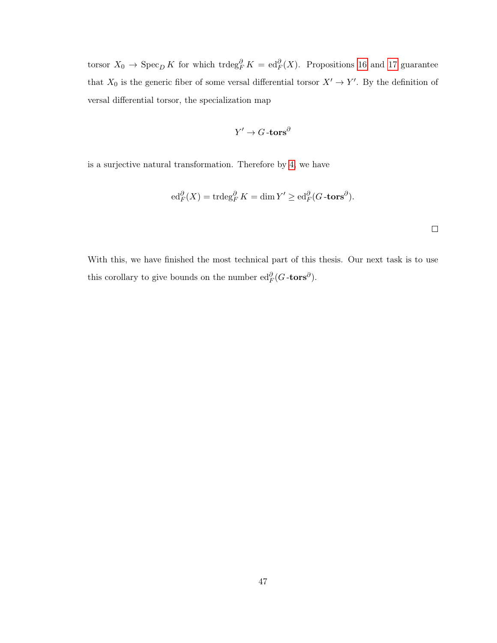torsor  $X_0 \to \text{Spec}_D K$  for which trdeg ${}^{\partial}_F K = \text{ed}_F^{\partial}(X)$ . Propositions [16](#page-47-1) and [17](#page-48-1) guarantee that  $X_0$  is the generic fiber of some versal differential torsor  $X' \to Y'$ . By the definition of versal differential torsor, the specialization map

$$
Y' \to G\text{-tors}^\partial
$$

is a surjective natural transformation. Therefore by [4,](#page-21-0) we have

$$
\mathrm{ed}_F^{\partial}(X) = \mathrm{trdeg}_F^{\partial} K = \dim Y' \ge \mathrm{ed}_F^{\partial} (G \text{-tors}^{\partial}).
$$

 $\Box$ 

With this, we have finished the most technical part of this thesis. Our next task is to use this corollary to give bounds on the number  $\mathrm{ed}_F^{\partial}(G\text{-tors}^{\partial})$ .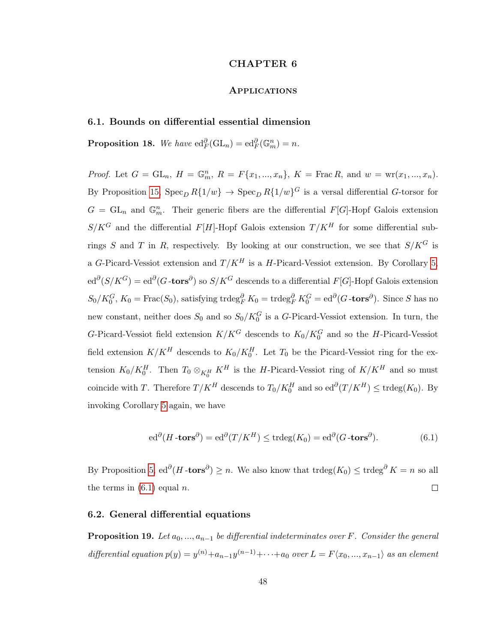#### CHAPTER 6

## **APPLICATIONS**

#### <span id="page-51-1"></span><span id="page-51-0"></span>6.1. Bounds on differential essential dimension

**Proposition 18.** We have  $ed_F^{\partial}(GL_n) = ed_F^{\partial}(\mathbb{G}_m^n) = n$ .

*Proof.* Let  $G = GL_n$ ,  $H = \mathbb{G}_m^n$ ,  $R = F\{x_1, ..., x_n\}$ ,  $K = \text{Frac } R$ , and  $w = \text{wr}(x_1, ..., x_n)$ . By Proposition [15,](#page-45-0)  $Spec_D R\{1/w\} \rightarrow Spec_D R\{1/w\}^G$  is a versal differential G-torsor for  $G = GL_n$  and  $\mathbb{G}_m^n$ . Their generic fibers are the differential  $F[G]$ -Hopf Galois extension  $S/K^G$  and the differential  $F[H]$ -Hopf Galois extension  $T/K^H$  for some differential subrings S and T in R, respectively. By looking at our construction, we see that  $S/K^G$  is a G-Picard-Vessiot extension and  $T/K^H$  is a H-Picard-Vessiot extension. By Corollary [5,](#page-49-0)  $ed^{\partial}(S/K^G) = ed^{\partial}(G\text{-tors}^{\partial})$  so  $S/K^G$  descends to a differential  $F[G]\text{-Hopf Galois extension}$  $S_0/K_0^G$ ,  $K_0 = \text{Frac}(S_0)$ , satisfying trdeg ${}^{\partial}_F K_0 = \text{trdeg}_F^{\partial} K_0^G = \text{ed}^{\partial} (G - \text{tors}^{\partial})$ . Since S has no new constant, neither does  $S_0$  and so  $S_0/K_0^G$  is a G-Picard-Vessiot extension. In turn, the G-Picard-Vessiot field extension  $K/K^G$  descends to  $K_0/K_0^G$  and so the H-Picard-Vessiot field extension  $K/K^H$  descends to  $K_0/K_0^H$ . Let  $T_0$  be the Picard-Vessiot ring for the extension  $K_0/K_0^H$ . Then  $T_0 \otimes_{K_0^H} K^H$  is the H-Picard-Vessiot ring of  $K/K^H$  and so must coincide with T. Therefore  $T/K^H$  descends to  $T_0/K_0^H$  and so  $ed^{\partial}(T/K^H) \leq \text{trdeg}(K_0)$ . By invoking Corollary [5](#page-49-0) again, we have

<span id="page-51-3"></span>
$$
\mathrm{ed}^{\partial}(H\text{-tors}^{\partial}) = \mathrm{ed}^{\partial}(T/K^H) \le \mathrm{trdeg}(K_0) = \mathrm{ed}^{\partial}(G\text{-tors}^{\partial}).\tag{6.1}
$$

By Proposition [5,](#page-22-1)  $ed^{\partial}(H\text{-tors}^{\partial}) \geq n$ . We also know that  $trdeg(K_0) \leq trdeg^{\partial} K = n$  so all the terms in  $(6.1)$  equal n.  $\Box$ 

#### <span id="page-51-2"></span>6.2. General differential equations

**Proposition 19.** Let  $a_0, ..., a_{n-1}$  be differential indeterminates over F. Consider the general differential equation  $p(y) = y^{(n)} + a_{n-1}y^{(n-1)} + \cdots + a_0$  over  $L = F\langle x_0, ..., x_{n-1} \rangle$  as an element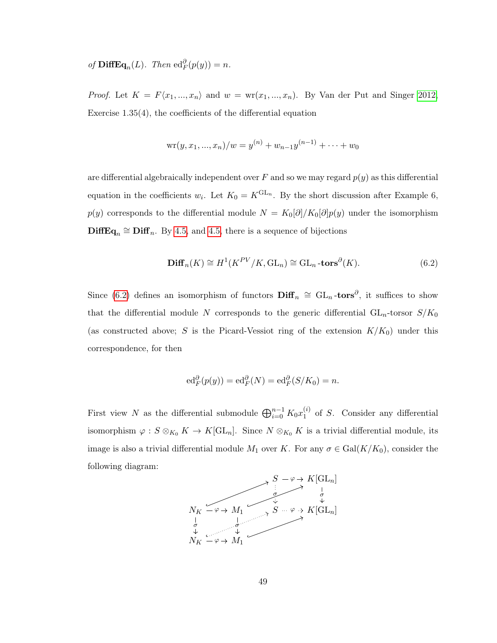of  $\mathbf{DiffEq}_n(L)$ . Then  $\mathrm{ed}_F^{\partial}(p(y)) = n$ .

*Proof.* Let  $K = F\langle x_1, ..., x_n \rangle$  and  $w = \text{wr}(x_1, ..., x_n)$ . By Van der Put and Singer [2012,](#page-56-0) Exercise 1.35(4), the coefficients of the differential equation

$$
\mathrm{wr}(y,x_1,...,x_n)/w = y^{(n)} + w_{n-1}y^{(n-1)} + \cdots + w_0
$$

are differential algebraically independent over F and so we may regard  $p(y)$  as this differential equation in the coefficients  $w_i$ . Let  $K_0 = K^{GL_n}$ . By the short discussion after Example 6,  $p(y)$  corresponds to the differential module  $N = K_0[\partial]/K_0[\partial]p(y)$  under the isomorphism  $\text{DiffEq}_n \cong \text{Diff}_n$ . By [4.5,](#page-39-2) and 4.5, there is a sequence of bijections

<span id="page-52-0"></span>
$$
\mathbf{Diff}_n(K) \cong H^1(K^{PV}/K, \mathrm{GL}_n) \cong \mathrm{GL}_n \text{-tors}^{\partial}(K). \tag{6.2}
$$

Since [\(6.2\)](#page-52-0) defines an isomorphism of functors  $\text{Diff}_n \cong GL_n$ -tors<sup>∂</sup>, it suffices to show that the differential module N corresponds to the generic differential  $GL_n$ -torsor  $S/K_0$ (as constructed above; S is the Picard-Vessiot ring of the extension  $K/K_0$ ) under this correspondence, for then

$$
\mathrm{ed}_F^{\partial}(p(y)) = \mathrm{ed}_F^{\partial}(N) = \mathrm{ed}_F^{\partial}(S/K_0) = n.
$$

First view N as the differential submodule  $\bigoplus_{i=0}^{n-1} K_0 x_1^{(i)}$  $_1^{(i)}$  of S. Consider any differential isomorphism  $\varphi: S \otimes_{K_0} K \to K[\mathrm{GL}_n]$ . Since  $N \otimes_{K_0} K$  is a trivial differential module, its image is also a trivial differential module  $M_1$  over K. For any  $\sigma \in \text{Gal}(K/K_0)$ , consider the following diagram:

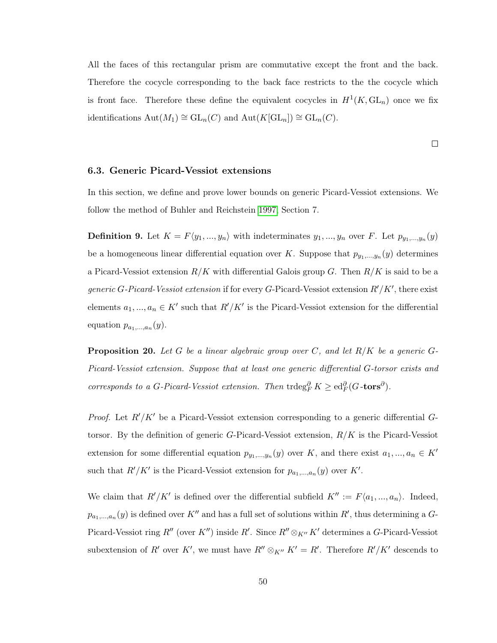All the faces of this rectangular prism are commutative except the front and the back. Therefore the cocycle corresponding to the back face restricts to the the cocycle which is front face. Therefore these define the equivalent cocycles in  $H^1(K, GL_n)$  once we fix identifications  $\text{Aut}(M_1) \cong \text{GL}_n(C)$  and  $\text{Aut}(K[\text{GL}_n]) \cong \text{GL}_n(C)$ .

 $\Box$ 

#### <span id="page-53-0"></span>6.3. Generic Picard-Vessiot extensions

In this section, we define and prove lower bounds on generic Picard-Vessiot extensions. We follow the method of Buhler and Reichstein [1997,](#page-55-0) Section 7.

**Definition 9.** Let  $K = F\langle y_1, ..., y_n \rangle$  with indeterminates  $y_1, ..., y_n$  over F. Let  $p_{y_1,...,y_n}(y)$ be a homogeneous linear differential equation over K. Suppose that  $p_{y_1,...,y_n}(y)$  determines a Picard-Vessiot extension  $R/K$  with differential Galois group G. Then  $R/K$  is said to be a generic G-Picard-Vessiot extension if for every G-Picard-Vessiot extension  $R'/K'$ , there exist elements  $a_1, ..., a_n \in K'$  such that  $R'/K'$  is the Picard-Vessiot extension for the differential equation  $p_{a_1,...,a_n}(y)$ .

<span id="page-53-1"></span>**Proposition 20.** Let G be a linear algebraic group over C, and let  $R/K$  be a generic G-Picard-Vessiot extension. Suppose that at least one generic differential G-torsor exists and corresponds to a G-Picard-Vessiot extension. Then  $trdeg_F^{\partial} K \geq ed_F^{\partial} (G\text{-tors}^{\partial}).$ 

*Proof.* Let  $R'/K'$  be a Picard-Vessiot extension corresponding to a generic differential Gtorsor. By the definition of generic G-Picard-Vessiot extension,  $R/K$  is the Picard-Vessiot extension for some differential equation  $p_{y_1,...,y_n}(y)$  over K, and there exist  $a_1,...,a_n \in K'$ such that  $R'/K'$  is the Picard-Vessiot extension for  $p_{a_1,...,a_n}(y)$  over K'.

We claim that  $R'/K'$  is defined over the differential subfield  $K'' := F\langle a_1, ..., a_n \rangle$ . Indeed,  $p_{a_1,...,a_n}(y)$  is defined over K'' and has a full set of solutions within R', thus determining a G-Picard-Vessiot ring  $R''$  (over  $K''$ ) inside  $R'$ . Since  $R'' \otimes_{K''} K'$  determines a G-Picard-Vessiot subextension of R' over K', we must have  $R'' \otimes_{K''} K' = R'$ . Therefore  $R'/K'$  descends to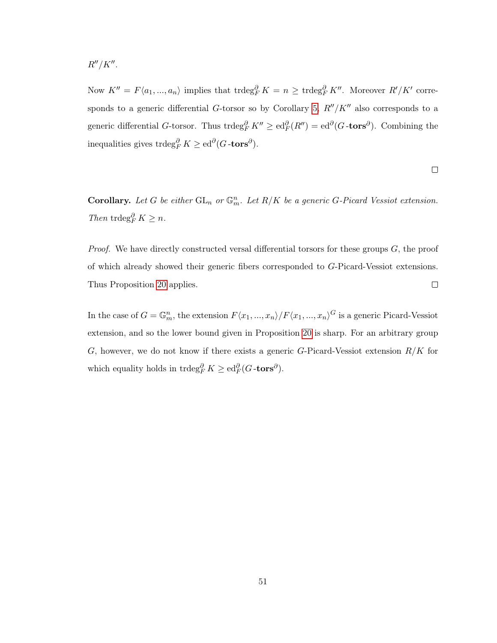$R''/K''$ .

Now  $K'' = F\langle a_1, ..., a_n \rangle$  implies that  $\text{trdeg}_F^{\partial} K = n \geq \text{trdeg}_F^{\partial} K''$ . Moreover  $R'/K'$  corre-sponds to a generic differential G-torsor so by Corollary [5,](#page-49-0)  $R''/K''$  also corresponds to a generic differential G-torsor. Thus  $trdeg_F^{\partial} K'' \geq ed_F^{\partial} (R'') = ed^{\partial} (G - \mathbf{tors}^{\partial})$ . Combining the inequalities gives  $\operatorname{trdeg}_F^{\partial} K \ge \operatorname{ed}^{\partial} (G \text{-tors}^{\partial}).$ 

$$
\qquad \qquad \Box
$$

**Corollary.** Let G be either  $GL_n$  or  $\mathbb{G}_m^n$ . Let  $R/K$  be a generic G-Picard Vessiot extension. Then trdeg $_{F}^{\partial} K \geq n$ .

*Proof.* We have directly constructed versal differential torsors for these groups  $G$ , the proof of which already showed their generic fibers corresponded to G-Picard-Vessiot extensions. Thus Proposition [20](#page-53-1) applies.  $\Box$ 

In the case of  $G = \mathbb{G}_m^n$ , the extension  $F\langle x_1, ..., x_n \rangle / F\langle x_1, ..., x_n \rangle^G$  is a generic Picard-Vessiot extension, and so the lower bound given in Proposition [20](#page-53-1) is sharp. For an arbitrary group G, however, we do not know if there exists a generic G-Picard-Vessiot extension  $R/K$  for which equality holds in  $\operatorname{trdeg}_F^{\partial} K \ge \operatorname{ed}_F^{\partial} (G\text{-tors}^{\partial}).$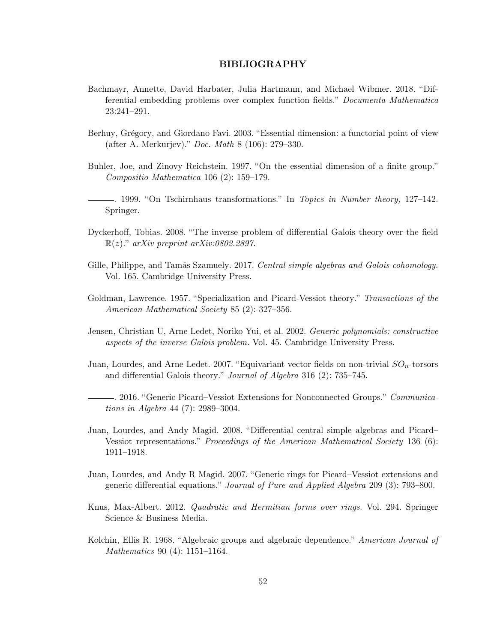### BIBLIOGRAPHY

- <span id="page-55-7"></span>Bachmayr, Annette, David Harbater, Julia Hartmann, and Michael Wibmer. 2018. "Differential embedding problems over complex function fields." Documenta Mathematica 23:241–291.
- <span id="page-55-3"></span>Berhuy, Grégory, and Giordano Favi. 2003. "Essential dimension: a functorial point of view (after A. Merkurjev)." Doc. Math 8 (106): 279–330.
- <span id="page-55-0"></span>Buhler, Joe, and Zinovy Reichstein. 1997. "On the essential dimension of a finite group." Compositio Mathematica 106 (2): 159–179.
- . 1999. "On Tschirnhaus transformations." In Topics in Number theory, 127–142. Springer.
- <span id="page-55-4"></span>Dyckerhoff, Tobias. 2008. "The inverse problem of differential Galois theory over the field  $\mathbb{R}(z)$ ." arXiv preprint arXiv:0802.2897.
- Gille, Philippe, and Tamás Szamuely. 2017. Central simple algebras and Galois cohomology. Vol. 165. Cambridge University Press.
- <span id="page-55-2"></span>Goldman, Lawrence. 1957. "Specialization and Picard-Vessiot theory." Transactions of the American Mathematical Society 85 (2): 327–356.
- Jensen, Christian U, Arne Ledet, Noriko Yui, et al. 2002. Generic polynomials: constructive aspects of the inverse Galois problem. Vol. 45. Cambridge University Press.
- Juan, Lourdes, and Arne Ledet. 2007. "Equivariant vector fields on non-trivial  $SO_n$ -torsors and differential Galois theory." Journal of Algebra 316 (2): 735–745.
- <span id="page-55-1"></span>. 2016. "Generic Picard–Vessiot Extensions for Nonconnected Groups." Communications in Algebra 44 (7): 2989–3004.
- Juan, Lourdes, and Andy Magid. 2008. "Differential central simple algebras and Picard– Vessiot representations." Proceedings of the American Mathematical Society 136 (6): 1911–1918.
- <span id="page-55-8"></span>Juan, Lourdes, and Andy R Magid. 2007. "Generic rings for Picard–Vessiot extensions and generic differential equations." Journal of Pure and Applied Algebra 209 (3): 793–800.
- <span id="page-55-5"></span>Knus, Max-Albert. 2012. Quadratic and Hermitian forms over rings. Vol. 294. Springer Science & Business Media.
- <span id="page-55-6"></span>Kolchin, Ellis R. 1968. "Algebraic groups and algebraic dependence." American Journal of Mathematics 90 (4): 1151–1164.